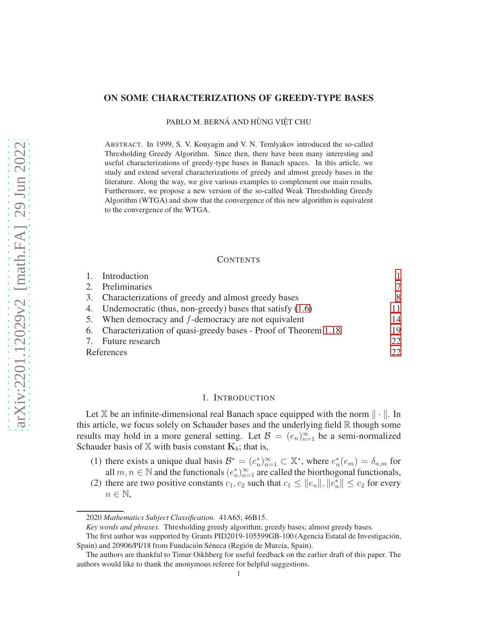## ON SOME CHARACTERIZATIONS OF GREEDY-TYPE BASES

PABLO M. BERNÁ AND HÙNG VIÊT CHU

ABSTRACT. In 1999, S. V. Konyagin and V. N. Temlyakov introduced the so-called Thresholding Greedy Algorithm. Since then, there have been many interesting and useful characterizations of greedy-type bases in Banach spaces. In this article, we study and extend several characterizations of greedy and almost greedy bases in the literature. Along the way, we give various examples to complement our main results. Furthermore, we propose a new version of the so-called Weak Thresholding Greedy Algorithm (WTGA) and show that the convergence of this new algorithm is equivalent to the convergence of the WTGA.

#### **CONTENTS**

|            | 1. Introduction                                                   |    |
|------------|-------------------------------------------------------------------|----|
|            | 2. Preliminaries                                                  | 7  |
|            | 3. Characterizations of greedy and almost greedy bases            | 8  |
|            | 4. Undemocratic (thus, non-greedy) bases that satisfy (1.6)       | 11 |
|            | 5. When democracy and $f$ -democracy are not equivalent           | 14 |
|            | 6. Characterization of quasi-greedy bases - Proof of Theorem 1.18 | 19 |
|            | 7. Future research                                                | 22 |
| References |                                                                   | 22 |

#### 1. INTRODUCTION

<span id="page-0-0"></span>Let X be an infinite-dimensional real Banach space equipped with the norm  $\|\cdot\|$ . In this article, we focus solely on Schauder bases and the underlying field  $\mathbb R$  though some results may hold in a more general setting. Let  $\mathcal{B} = (e_n)_{n=1}^{\infty}$  be a semi-normalized Schauder basis of X with basis constant  $K_b$ ; that is,

- (1) there exists a unique dual basis  $\mathcal{B}^* = (e_n^*)_{n=1}^{\infty} \subset \mathbb{X}^*$ , where  $e_n^*(e_m) = \delta_{n,m}$  for all  $m, n \in \mathbb{N}$  and the functionals  $(e_n^*)_{n=1}^\infty$  are called the biorthogonal functionals,
- (2) there are two positive constants  $c_1, c_2$  such that  $c_1 \le ||e_n||, ||e_n^*|| \le c_2$  for every  $n \in \mathbb{N}$ ,

<sup>2020</sup> *Mathematics Subject Classification.* 41A65; 46B15.

*Key words and phrases.* Thresholding greedy algorithm; greedy bases; almost greedy bases.

The first author was supported by Grants PID2019-105599GB-100 (Agencia Estatal de Investigación, Spain) and 20906/PI/18 from Fundación Séneca (Región de Murcia, Spain).

The authors are thankful to Timur Oikhberg for useful feedback on the earlier draft of this paper. The authors would like to thank the anonymous referee for helpful suggestions.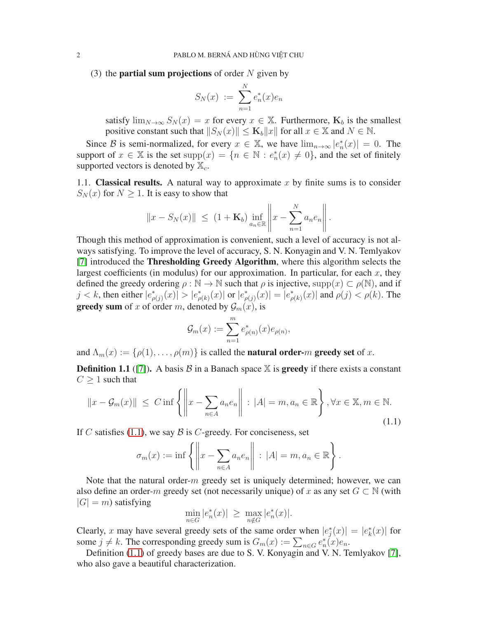(3) the **partial sum projections** of order  $N$  given by

$$
S_N(x) := \sum_{n=1}^N e_n^*(x)e_n
$$

satisfy  $\lim_{N\to\infty}S_N(x)=x$  for every  $x\in\mathbb{X}$ . Furthermore,  $\mathbf{K}_b$  is the smallest positive constant such that  $||S_N(x)|| \le K_b ||x||$  for all  $x \in \mathbb{X}$  and  $N \in \mathbb{N}$ .

Since B is semi-normalized, for every  $x \in \mathbb{X}$ , we have  $\lim_{n\to\infty} |e_n^*(x)| = 0$ . The support of  $x \in \mathbb{X}$  is the set  $supp(x) = \{n \in \mathbb{N} : e_n^*(x) \neq 0\}$ , and the set of finitely supported vectors is denoted by  $\mathbb{X}_c$ .

1.1. **Classical results.** A natural way to approximate x by finite sums is to consider  $S_N(x)$  for  $N \geq 1$ . It is easy to show that

$$
||x - S_N(x)|| \le (1 + \mathbf{K}_b) \inf_{a_n \in \mathbb{R}} ||x - \sum_{n=1}^N a_n e_n ||.
$$

Though this method of approximation is convenient, such a level of accuracy is not always satisfying. To improve the level of accuracy, S. N. Konyagin and V. N. Temlyakov [\[7\]](#page-21-2) introduced the Thresholding Greedy Algorithm, where this algorithm selects the largest coefficients (in modulus) for our approximation. In particular, for each  $x$ , they defined the greedy ordering  $\rho : \mathbb{N} \to \mathbb{N}$  such that  $\rho$  is injective, supp $(x) \subset \rho(\mathbb{N})$ , and if  $j < k$ , then either  $|e^*_{\rho(j)}(x)| > |e^*_{\rho(k)}(x)|$  or  $|e^*_{\rho(j)}(x)| = |e^*_{\rho(k)}(x)|$  and  $\rho(j) < \rho(k)$ . The **greedy sum** of x of order m, denoted by  $\mathcal{G}_m(x)$ , is

$$
\mathcal{G}_m(x) := \sum_{n=1}^m e_{\rho(n)}^*(x) e_{\rho(n)},
$$

and  $\Lambda_m(x) := \{\rho(1), \ldots, \rho(m)\}\$ is called the **natural order-***m* greedy set of x.

**Definition 1.1** ([\[7\]](#page-21-2)). A basis  $\beta$  in a Banach space  $\mathbb{X}$  is **greedy** if there exists a constant  $C \geq 1$  such that

<span id="page-1-0"></span>
$$
||x - \mathcal{G}_m(x)|| \le C \inf \left\{ ||x - \sum_{n \in A} a_n e_n || : |A| = m, a_n \in \mathbb{R} \right\}, \forall x \in \mathbb{X}, m \in \mathbb{N}.
$$
\n(1.1)

If C satisfies [\(1.1\)](#page-1-0), we say B is C-greedy. For conciseness, set

$$
\sigma_m(x) := \inf \left\{ \left\| x - \sum_{n \in A} a_n e_n \right\| \ : \ |A| = m, a_n \in \mathbb{R} \right\}.
$$

Note that the natural order- $m$  greedy set is uniquely determined; however, we can also define an order-m greedy set (not necessarily unique) of x as any set  $G \subset \mathbb{N}$  (with  $|G| = m$ ) satisfying

$$
\min_{n \in G} |e_n^*(x)| \ge \max_{n \notin G} |e_n^*(x)|.
$$

Clearly, x may have several greedy sets of the same order when  $|e_j^*(x)| = |e_k^*(x)|$  for some  $j \neq k$ . The corresponding greedy sum is  $G_m(x) := \sum_{n \in G} e_n^*(x)e_n$ .

Definition [\(1.1\)](#page-1-0) of greedy bases are due to S. V. Konyagin and V. N. Temlyakov [\[7\]](#page-21-2), who also gave a beautiful characterization.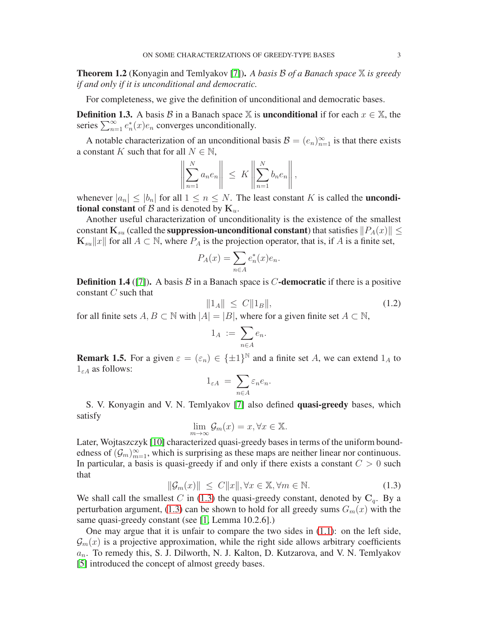<span id="page-2-1"></span>Theorem 1.2 (Konyagin and Temlyakov [\[7\]](#page-21-2)). *A basis* <sup>B</sup> *of a Banach space* <sup>X</sup> *is greedy if and only if it is unconditional and democratic.*

For completeness, we give the definition of unconditional and democratic bases.

**Definition 1.3.** A basis B in a Banach space X is **unconditional** if for each  $x \in X$ , the series  $\sum_{n=1}^{\infty} e_n^*(x)e_n$  converges unconditionally.

A notable characterization of an unconditional basis  $\mathcal{B} = (e_n)_{n=1}^{\infty}$  is that there exists a constant K such that for all  $N \in \mathbb{N}$ ,

$$
\left\| \sum_{n=1}^N a_n e_n \right\| \leq K \left\| \sum_{n=1}^N b_n e_n \right\|,
$$

whenever  $|a_n| \leq |b_n|$  for all  $1 \leq n \leq N$ . The least constant K is called the **unconditional constant** of B and is denoted by  $K_u$ .

Another useful characterization of unconditionality is the existence of the smallest constant  $K_{su}$  (called the **suppression-unconditional constant**) that satisfies  $||P_A(x)|| \le$  $\mathbf{K}_{su}||x||$  for all  $A \subset \mathbb{N}$ , where  $P_A$  is the projection operator, that is, if A is a finite set,

$$
P_A(x) = \sum_{n \in A} e_n^*(x) e_n.
$$

**Definition 1.4** ([\[7\]](#page-21-2)). A basis B in a Banach space is C-democratic if there is a positive constant C such that

$$
||1_A|| \le C||1_B||, \tag{1.2}
$$

for all finite sets  $A, B \subset \mathbb{N}$  with  $|A| = |B|$ , where for a given finite set  $A \subset \mathbb{N}$ ,

$$
1_A := \sum_{n \in A} e_n.
$$

**Remark 1.5.** For a given  $\varepsilon = (\varepsilon_n) \in {\pm 1}^{\mathbb{N}}$  and a finite set A, we can extend  $1_A$  to  $1_{\varepsilon A}$  as follows:

$$
1_{\varepsilon A} = \sum_{n \in A} \varepsilon_n e_n.
$$

S. V. Konyagin and V. N. Temlyakov [\[7\]](#page-21-2) also defined quasi-greedy bases, which satisfy

$$
\lim_{m \to \infty} \mathcal{G}_m(x) = x, \forall x \in \mathbb{X}.
$$

Later, Wojtaszczyk [\[10\]](#page-21-3) characterized quasi-greedy bases in terms of the uniform boundedness of  $(G_m)_{m=1}^{\infty}$ , which is surprising as these maps are neither linear nor continuous. In particular, a basis is quasi-greedy if and only if there exists a constant  $C > 0$  such that

<span id="page-2-0"></span>
$$
\|\mathcal{G}_m(x)\| \le C\|x\|, \forall x \in \mathbb{X}, \forall m \in \mathbb{N}.
$$
 (1.3)

We shall call the smallest C in [\(1.3\)](#page-2-0) the quasi-greedy constant, denoted by  $C_q$ . By a perturbation argument, [\(1.3\)](#page-2-0) can be shown to hold for all greedy sums  $G_m(x)$  with the same quasi-greedy constant (see [\[1,](#page-21-4) Lemma 10.2.6].)

One may argue that it is unfair to compare the two sides in  $(1.1)$ : on the left side,  $\mathcal{G}_m(x)$  is a projective approximation, while the right side allows arbitrary coefficients  $a_n$ . To remedy this, S. J. Dilworth, N. J. Kalton, D. Kutzarova, and V. N. Temlyakov [\[5\]](#page-21-5) introduced the concept of almost greedy bases.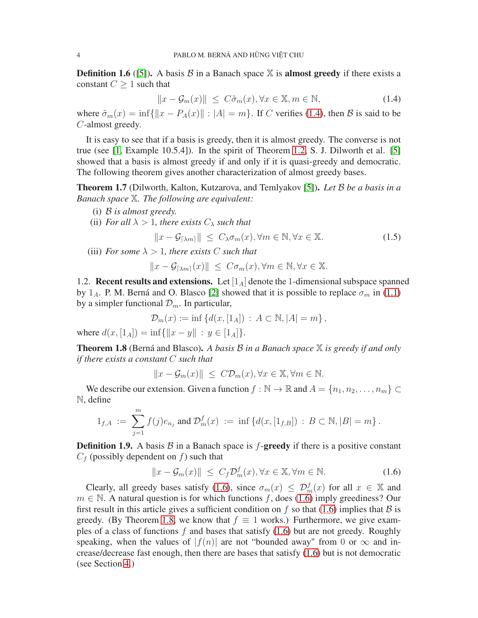**Definition 1.6** ([\[5\]](#page-21-5)). A basis  $\beta$  in a Banach space  $X$  is **almost greedy** if there exists a constant  $C \geq 1$  such that

<span id="page-3-1"></span>
$$
||x - \mathcal{G}_m(x)|| \le C\tilde{\sigma}_m(x), \forall x \in \mathbb{X}, m \in \mathbb{N},
$$
\n(1.4)

where  $\tilde{\sigma}_m(x) = \inf \{ ||x - P_A(x)|| : |A| = m \}$ . If C verifies [\(1.4\)](#page-3-1), then B is said to be C-almost greedy.

It is easy to see that if a basis is greedy, then it is almost greedy. The converse is not true (see [\[1,](#page-21-4) Example 10.5.4]). In the spirit of Theorem [1.2,](#page-2-1) S. J. Dilworth et al. [\[5\]](#page-21-5) showed that a basis is almost greedy if and only if it is quasi-greedy and democratic. The following theorem gives another characterization of almost greedy bases.

<span id="page-3-3"></span>Theorem 1.7 (Dilworth, Kalton, Kutzarova, and Temlyakov [\[5\]](#page-21-5)). *Let* B *be a basis in a Banach space* X*. The following are equivalent:*

- (i) B *is almost greedy.*
- (ii) *For all*  $\lambda > 1$ *, there exists*  $C_{\lambda}$  *such that*

<span id="page-3-4"></span>
$$
||x - \mathcal{G}_{\lceil \lambda m \rceil}|| \le C_{\lambda} \sigma_m(x), \forall m \in \mathbb{N}, \forall x \in \mathbb{X}.
$$
 (1.5)

(iii) *For some*  $\lambda > 1$ *, there exists* C *such that* 

$$
||x - \mathcal{G}_{\lceil \lambda m \rceil}(x)|| \leq C \sigma_m(x), \forall m \in \mathbb{N}, \forall x \in \mathbb{X}.
$$

1.2. **Recent results and extensions.** Let  $\begin{bmatrix} 1_A \end{bmatrix}$  denote the 1-dimensional subspace spanned by 1<sub>A</sub>. P. M. Berná and O. Blasco [\[2\]](#page-21-6) showed that it is possible to replace  $\sigma_m$  in [\(1.1\)](#page-1-0) by a simpler functional  $\mathcal{D}_m$ . In particular,

$$
\mathcal{D}_m(x) := \inf \{ d(x, [1_A]) : A \subset \mathbb{N}, |A| = m \},
$$

where  $d(x, [1_A]) = \inf\{||x - y|| : y \in [1_A]\}.$ 

<span id="page-3-2"></span>Theorem 1.8 (Berná and Blasco). *A basis* <sup>B</sup> *in a Banach space* <sup>X</sup> *is greedy if and only if there exists a constant* C *such that*

$$
||x - \mathcal{G}_m(x)|| \le C \mathcal{D}_m(x), \forall x \in \mathbb{X}, \forall m \in \mathbb{N}.
$$

We describe our extension. Given a function  $f : \mathbb{N} \to \mathbb{R}$  and  $A = \{n_1, n_2, \dots, n_m\} \subset$ N, define

$$
1_{f,A} := \sum_{j=1}^m f(j)e_{n_j} \text{ and } \mathcal{D}_m^f(x) := \inf \left\{ d(x, [1_{f,B}]) : B \subset \mathbb{N}, |B| = m \right\}.
$$

**Definition 1.9.** A basis  $\beta$  in a Banach space is  $f$ -greedy if there is a positive constant  $C_f$  (possibly dependent on f) such that

<span id="page-3-0"></span>
$$
||x - \mathcal{G}_m(x)|| \le C_f \mathcal{D}_m^f(x), \forall x \in \mathbb{X}, \forall m \in \mathbb{N}.
$$
 (1.6)

Clearly, all greedy bases satisfy [\(1.6\)](#page-3-0), since  $\sigma_m(x) \leq \mathcal{D}_m^f(x)$  for all  $x \in \mathbb{X}$  and  $m \in \mathbb{N}$ . A natural question is for which functions f, does [\(1.6\)](#page-3-0) imply greediness? Our first result in this article gives a sufficient condition on f so that [\(1.6\)](#page-3-0) implies that  $\beta$  is greedy. (By Theorem [1.8,](#page-3-2) we know that  $f \equiv 1$  works.) Furthermore, we give examples of a class of functions  $f$  and bases that satisfy  $(1.6)$  but are not greedy. Roughly speaking, when the values of  $|f(n)|$  are not "bounded away" from 0 or  $\infty$  and increase/decrease fast enough, then there are bases that satisfy [\(1.6\)](#page-3-0) but is not democratic (see Section [4.](#page-10-0))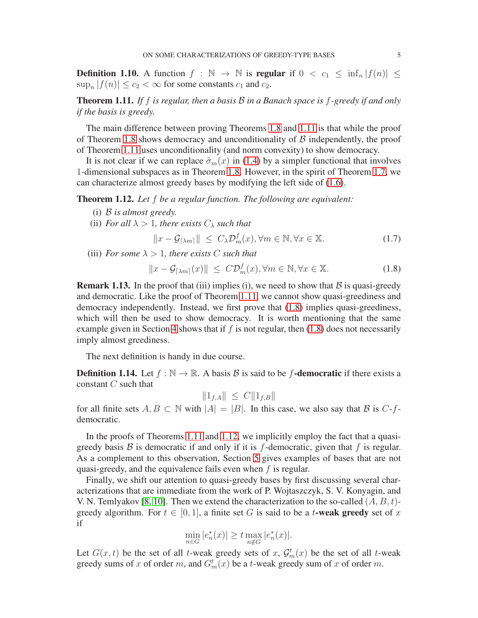**Definition 1.10.** A function  $f : \mathbb{N} \to \mathbb{N}$  is regular if  $0 < c_1 \le \inf_n |f(n)| \le$  $\sup_n |f(n)| \leq c_2 < \infty$  for some constants  $c_1$  and  $c_2$ .

<span id="page-4-0"></span>Theorem 1.11. *If* f *is regular, then a basis* B *in a Banach space is* f*-greedy if and only if the basis is greedy.*

The main difference between proving Theorems [1.8](#page-3-2) and [1.11](#page-4-0) is that while the proof of Theorem [1.8](#page-3-2) shows democracy and unconditionality of  $\beta$  independently, the proof of Theorem [1.11](#page-4-0) uses unconditionality (and norm convexity) to show democracy.

It is not clear if we can replace  $\tilde{\sigma}_m(x)$  in [\(1.4\)](#page-3-1) by a simpler functional that involves 1-dimensional subspaces as in Theorem [1.8.](#page-3-2) However, in the spirit of Theorem [1.7,](#page-3-3) we can characterize almost greedy bases by modifying the left side of [\(1.6\)](#page-3-0).

<span id="page-4-2"></span>Theorem 1.12. *Let* f *be a regular function. The following are equivalent:*

- (i) B *is almost greedy.*
- (ii) *For all*  $\lambda > 1$ *, there exists*  $C_{\lambda}$  *such that*

<span id="page-4-3"></span> $||x - \mathcal{G}_{\lceil \lambda m \rceil}|| \leq C_{\lambda} \mathcal{D}_m^f(x), \forall m \in \mathbb{N}, \forall x \in \mathbb{X}.$  (1.7)

(iii) *For some*  $\lambda > 1$ *, there exists* C *such that* 

<span id="page-4-1"></span>
$$
||x - \mathcal{G}_{\lceil \lambda m \rceil}(x)|| \le C \mathcal{D}_m^f(x), \forall m \in \mathbb{N}, \forall x \in \mathbb{X}.
$$
 (1.8)

**Remark 1.13.** In the proof that (iii) implies (i), we need to show that  $\beta$  is quasi-greedy and democratic. Like the proof of Theorem [1.11,](#page-4-0) we cannot show quasi-greediness and democracy independently. Instead, we first prove that [\(1.8\)](#page-4-1) implies quasi-greediness, which will then be used to show democracy. It is worth mentioning that the same example given in Section [4](#page-10-0) shows that if  $f$  is not regular, then [\(1.8\)](#page-4-1) does not necessarily imply almost greediness.

The next definition is handy in due course.

**Definition 1.14.** Let  $f : \mathbb{N} \to \mathbb{R}$ . A basis  $\mathcal{B}$  is said to be f-democratic if there exists a constant C such that

$$
||1_{f,A}|| \leq C||1_{f,B}||
$$

for all finite sets  $A, B \subset \mathbb{N}$  with  $|A| = |B|$ . In this case, we also say that B is C-fdemocratic.

In the proofs of Theorems [1.11](#page-4-0) and [1.12,](#page-4-2) we implicitly employ the fact that a quasigreedy basis  $\beta$  is democratic if and only if it is f-democratic, given that f is regular. As a complement to this observation, Section [5](#page-13-0) gives examples of bases that are not quasi-greedy, and the equivalence fails even when  $f$  is regular.

Finally, we shift our attention to quasi-greedy bases by first discussing several characterizations that are immediate from the work of P. Wojtaszczyk, S. V. Konyagin, and V. N. Temlyakov [\[8,](#page-21-7) [10\]](#page-21-3). Then we extend the characterization to the so-called  $(A, B, t)$ greedy algorithm. For  $t \in [0, 1]$ , a finite set G is said to be a t-weak greedy set of x if

$$
\min_{n \in G} |e_n^*(x)| \ge t \max_{n \notin G} |e_n^*(x)|.
$$

Let  $G(x, t)$  be the set of all t-weak greedy sets of x,  $\mathcal{G}_m^t(x)$  be the set of all t-weak greedy sums of x of order m, and  $G_m^t(x)$  be a t-weak greedy sum of x of order m.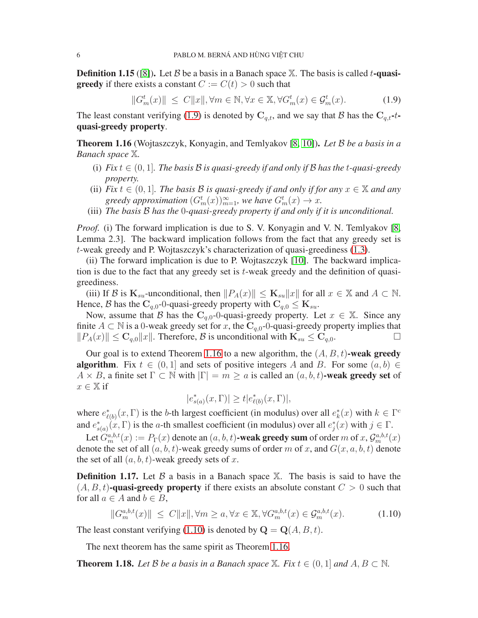**Definition 1.15** ([\[8\]](#page-21-7)). Let B be a basis in a Banach space X. The basis is called t-quasi**greedy** if there exists a constant  $C := C(t) > 0$  such that

<span id="page-5-1"></span>
$$
||G_m^t(x)|| \le C||x||, \forall m \in \mathbb{N}, \forall x \in \mathbb{X}, \forall G_m^t(x) \in \mathcal{G}_m^t(x). \tag{1.9}
$$

The least constant verifying [\(1.9\)](#page-5-1) is denoted by  $C_{q,t}$ , and we say that B has the  $C_{q,t}t$ quasi-greedy property.

<span id="page-5-2"></span>Theorem 1.16 (Wojtaszczyk, Konyagin, and Temlyakov [\[8,](#page-21-7) [10\]](#page-21-3)). *Let* B *be a basis in a Banach space* X*.*

- (i) *Fix*  $t \in (0, 1]$ *. The basis* B *is quasi-greedy if and only if* B *has the t-quasi-greedy property.*
- (ii) *Fix*  $t \in (0,1]$ *. The basis* B *is quasi-greedy if and only if for any*  $x \in \mathbb{X}$  *and any greedy approximation*  $(G_m^t(x))_{m=1}^{\infty}$ *, we have*  $G_m^t(x) \to x$ *.*
- (iii) *The basis* B *has the* 0*-quasi-greedy property if and only if it is unconditional.*

*Proof.* (i) The forward implication is due to S. V. Konyagin and V. N. Temlyakov [\[8,](#page-21-7) Lemma 2.3]. The backward implication follows from the fact that any greedy set is t-weak greedy and P. Wojtaszczyk's characterization of quasi-greediness [\(1.3\)](#page-2-0).

(ii) The forward implication is due to P. Wojtaszczyk [\[10\]](#page-21-3). The backward implication is due to the fact that any greedy set is  $t$ -weak greedy and the definition of quasigreediness.

(iii) If B is  $\mathbf{K}_{su}$ -unconditional, then  $||P_A(x)|| \leq \mathbf{K}_{su}||x||$  for all  $x \in \mathbb{X}$  and  $A \subset \mathbb{N}$ . Hence, B has the  $C_{q,0}$ -0-quasi-greedy property with  $C_{q,0} \le K_{su}$ .

Now, assume that B has the  $C_{q,0}$ -0-quasi-greedy property. Let  $x \in X$ . Since any finite  $A \subset \mathbb{N}$  is a 0-weak greedy set for x, the  $C_{q,0}$ -0-quasi-greedy property implies that  $||P_A(x)|| \leq C_{q,0}||x||$ . Therefore, B is unconditional with  $\mathbf{K}_{su} \leq C_{q,0}$ .  $||P_A(x)|| \leq \mathbf{C}_{q,0}||x||$ . Therefore, B is unconditional with  $\mathbf{K}_{su} \leq \mathbf{C}_{q,0}$ .

Our goal is to extend Theorem [1.16](#page-5-2) to a new algorithm, the  $(A, B, t)$ -weak greedy **algorithm**. Fix  $t \in (0,1]$  and sets of positive integers A and B. For some  $(a, b) \in$  $A \times B$ , a finite set  $\Gamma \subset \mathbb{N}$  with  $|\Gamma| = m \ge a$  is called an  $(a, b, t)$ -weak greedy set of  $x \in \mathbb{X}$  if

$$
|e^*_{s(a)}(x,\Gamma)|\geq t|e^*_{\ell(b)}(x,\Gamma)|,
$$

where  $e_{\ell(b)}^*(x,\Gamma)$  is the b-th largest coefficient (in modulus) over all  $e_k^*(x)$  with  $k \in \Gamma^c$ and  $e_{s(a)}^*(x, \Gamma)$  is the a-th smallest coefficient (in modulus) over all  $e_j^*(x)$  with  $j \in \Gamma$ .

Let  $G_m^{a,b,t}(x) := P_\Gamma(x)$  denote an  $(a, b, t)$ -weak greedy sum of order m of x,  $\mathcal{G}_m^{a,b,t}(x)$ denote the set of all  $(a, b, t)$ -weak greedy sums of order m of x, and  $G(x, a, b, t)$  denote the set of all  $(a, b, t)$ -weak greedy sets of x.

**Definition 1.17.** Let  $\beta$  a basis in a Banach space  $\mathbb{X}$ . The basis is said to have the  $(A, B, t)$ -quasi-greedy property if there exists an absolute constant  $C > 0$  such that for all  $a \in A$  and  $b \in B$ ,

<span id="page-5-3"></span>
$$
||G_m^{a,b,t}(x)|| \le C||x||, \forall m \ge a, \forall x \in \mathbb{X}, \forall G_m^{a,b,t}(x) \in \mathcal{G}_m^{a,b,t}(x). \tag{1.10}
$$

The least constant verifying [\(1.10\)](#page-5-3) is denoted by  $\mathbf{Q} = \mathbf{Q}(A, B, t)$ .

The next theorem has the same spirit as Theorem [1.16.](#page-5-2)

<span id="page-5-0"></span>**Theorem 1.18.** Let B be a basis in a Banach space  $X$ . Fix  $t \in (0, 1]$  and  $A, B \subset \mathbb{N}$ .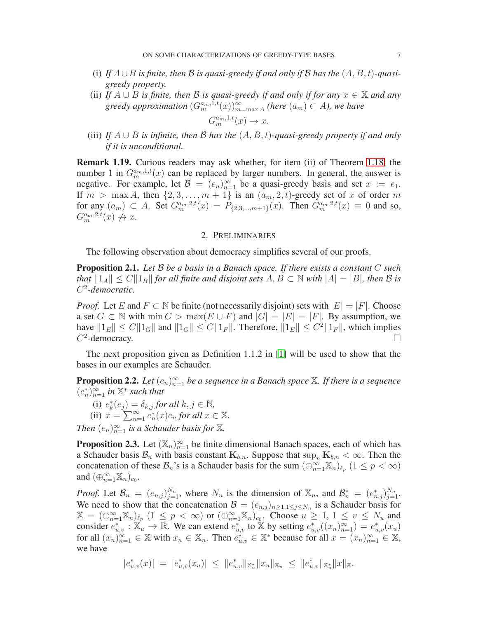- (i) If  $A \cup B$  *is finite, then* B *is quasi-greedy if and only if* B *has the*  $(A, B, t)$ *-quasigreedy property.*
- (ii) *If*  $A \cup B$  *is finite, then*  $B$  *is quasi-greedy if and only if for any*  $x \in \mathbb{X}$  *and any*  $g$ *reedy approximation*  $(G_m^{a_m,1,t}(x))_{m=\max A}^{\infty}$  *(here*  $(a_m) \subset A$ *), we have*  $G_m^{a_m,1,t}(x) \to x.$
- (iii) *If* A ∪ B *is infinite, then* B *has the* (A, B, t)*-quasi-greedy property if and only if it is unconditional.*

Remark 1.19. Curious readers may ask whether, for item (ii) of Theorem [1.18,](#page-5-0) the number 1 in  $G_m^{a_m,1,t}(x)$  can be replaced by larger numbers. In general, the answer is negative. For example, let  $\mathcal{B} = (e_n)_{n=1}^{\infty}$  be a quasi-greedy basis and set  $x := e_1$ . If  $m > \max A$ , then  $\{2, 3, \ldots, m + 1\}$  is an  $(a_m, 2, t)$ -greedy set of x of order m for any  $(a_m) \subset A$ . Set  $G_m^{a_m,2,t}(x) = P_{\{2,3,\dots,m+1\}}(x)$ . Then  $G_m^{a_m,2,t}(x) \equiv 0$  and so,  $G_m^{a_m,2,t}(x) \not\rightarrow x.$ 

#### 2. PRELIMINARIES

<span id="page-6-0"></span>The following observation about democracy simplifies several of our proofs.

<span id="page-6-2"></span>Proposition 2.1. *Let* B *be a basis in a Banach space. If there exists a constant* C *such that*  $||1_A|| \leq C||1_B||$  *for all finite and disjoint sets*  $A, B \subset \mathbb{N}$  *with*  $|A| = |B|$ *, then* B *is* C 2 *-democratic.*

*Proof.* Let E and  $F \subset \mathbb{N}$  be finite (not necessarily disjoint) sets with  $|E| = |F|$ . Choose a set  $G \subset \mathbb{N}$  with  $\min G > \max(E \cup F)$  and  $|G| = |E| = |F|$ . By assumption, we have  $||1_E|| \leq C ||1_G||$  and  $||1_G|| \leq C ||1_F||$ . Therefore,  $||1_E|| \leq C^2 ||1_F||$ , which implies  $C^2$ -democracy.

The next proposition given as Definition 1.1.2 in [\[1\]](#page-21-4) will be used to show that the bases in our examples are Schauder.

<span id="page-6-1"></span>**Proposition 2.2.** Let  $(e_n)_{n=1}^{\infty}$  be a sequence in a Banach space  $\mathbb{X}$ . If there is a sequence  $(e_n^*)_{n=1}^{\infty}$  in  $\mathbb{X}^*$  such that

- (i)  $e_k^*(e_j) = \delta_{k,j}$  for all  $k, j \in \mathbb{N}$ ,
- (ii)  $x = \sum_{n=1}^{\infty} e_n^*(x) e_n$  *for all*  $x \in \mathbb{X}$ *.*

*Then*  $(e_n)_{n=1}^{\infty}$  *is a Schauder basis for*  $\mathbb{X}$ *.* 

<span id="page-6-3"></span>**Proposition 2.3.** Let  $(\mathbb{X}_n)_{n=1}^{\infty}$  be finite dimensional Banach spaces, each of which has a Schauder basis  $B_n$  with basis constant  $K_{b,n}$ . Suppose that  $\sup_n K_{b,n} < \infty$ . Then the concatenation of these  $\mathcal{B}_n$ 's is a Schauder basis for the sum  $(\bigoplus_{n=1}^{\infty} \mathbb{X}_n)_{\ell_p}$   $(1 \leq p < \infty)$ and  $(\bigoplus_{n=1}^{\infty} \mathbb{X}_n)_{c_0}$ .

*Proof.* Let  $\mathcal{B}_n = (e_{n,j})_{j=1}^{N_n}$ , where  $N_n$  is the dimension of  $\mathbb{X}_n$ , and  $\mathcal{B}_n^* = (e_{n,j}^*)_{j=1}^{N_n}$ . We need to show that the concatenation  $\mathcal{B} = (e_{n,j})_{n \geq 1, 1 \leq j \leq N_n}$  is a Schauder basis for  $\mathbb{X} = (\bigoplus_{n=1}^{\infty} \mathbb{X}_n)_{\ell_p}$   $(1 \leq p < \infty)$  or  $(\bigoplus_{n=1}^{\infty} \mathbb{X}_n)_{c_0}$ . Choose  $u \geq 1, 1 \leq v \leq N_u$  and consider  $e_{u,v}^* : \mathbb{X}_u \to \mathbb{R}$ . We can extend  $e_{u,v}^*$  to  $\mathbb{X}$  by setting  $e_{u,v}^*((x_n)_{n=1}^\infty) = e_{u,v}^*(x_u)$ for all  $(x_n)_{n=1}^{\infty} \in \mathbb{X}$  with  $x_n \in \mathbb{X}_n$ . Then  $e_{u,v}^* \in \mathbb{X}^*$  because for all  $x = (x_n)_{n=1}^{\infty} \in \mathbb{X}$ , we have

$$
|e^*_{u,v}(x)| \ = \ |e^*_{u,v}(x_u)| \ \leq \ \|e^*_{u,v}\|_{\mathbb{X}^*_u} \|x_u\|_{\mathbb{X}^u} \ \leq \ \|e^*_{u,v}\|_{\mathbb{X}^*_u} \|x\|_{\mathbb{X}}.
$$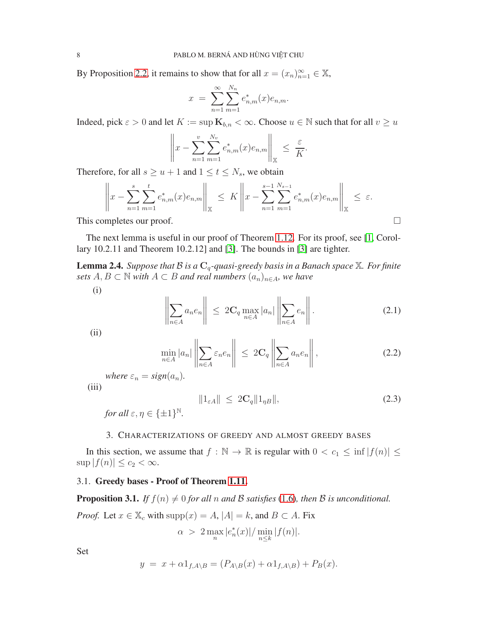By Proposition [2.2,](#page-6-1) it remains to show that for all  $x = (x_n)_{n=1}^{\infty} \in \mathbb{X}$ ,

$$
x = \sum_{n=1}^{\infty} \sum_{m=1}^{N_n} e_{n,m}^{*}(x) e_{n,m}.
$$

Indeed, pick  $\varepsilon > 0$  and let  $K := \sup \mathbf{K}_{b,n} < \infty$ . Choose  $u \in \mathbb{N}$  such that for all  $v \geq u$ 

$$
\left\|x - \sum_{n=1}^v \sum_{m=1}^{N_v} e_{n,m}^*(x)e_{n,m}\right\|_{\mathbb{X}} \leq \frac{\varepsilon}{K}.
$$

Therefore, for all  $s \ge u + 1$  and  $1 \le t \le N_s$ , we obtain

$$
\left\|x - \sum_{n=1}^{s} \sum_{m=1}^{t} e_{n,m}^{*}(x) e_{n,m}\right\|_{\mathbb{X}} \leq K \left\|x - \sum_{n=1}^{s-1} \sum_{m=1}^{N_{s-1}} e_{n,m}^{*}(x) e_{n,m}\right\|_{\mathbb{X}} \leq \varepsilon.
$$

This completes our proof.

The next lemma is useful in our proof of Theorem [1.12.](#page-4-2) For its proof, see [\[1,](#page-21-4) Corollary 10.2.11 and Theorem 10.2.12] and [\[3\]](#page-21-8). The bounds in [\[3\]](#page-21-8) are tighter.

<span id="page-7-2"></span>**Lemma 2.4.** *Suppose that*  $B$  *is a*  $C_q$ -quasi-greedy basis in a Banach space  $X$ *. For finite sets*  $A, B \subset \mathbb{N}$  *with*  $A \subset B$  *and real numbers*  $(a_n)_{n \in A}$ *, we have* 

(i)

$$
\left\| \sum_{n \in A} a_n e_n \right\| \le 2\mathbf{C}_q \max_{n \in A} |a_n| \left\| \sum_{n \in A} e_n \right\|. \tag{2.1}
$$

(ii)

$$
\min_{n \in A} |a_n| \left\| \sum_{n \in A} \varepsilon_n e_n \right\| \le 2\mathbf{C}_q \left\| \sum_{n \in A} a_n e_n \right\|,
$$
\n(2.2)

*where*  $\varepsilon_n = sign(a_n)$ *.* 

$$
(iii)
$$

$$
||1_{\varepsilon A}|| \le 2C_q ||1_{\eta B}||, \tag{2.3}
$$

*for all*  $\varepsilon, \eta \in {\{\pm 1\}}^{\mathbb{N}}$ .

#### 3. CHARACTERIZATIONS OF GREEDY AND ALMOST GREEDY BASES

<span id="page-7-0"></span>In this section, we assume that  $f : \mathbb{N} \to \mathbb{R}$  is regular with  $0 < c_1 \le \inf |f(n)| \le$  $\sup |f(n)| \leq c_2 < \infty.$ 

### 3.1. Greedy bases - Proof of Theorem [1.11.](#page-4-0)

<span id="page-7-1"></span>**Proposition 3.1.** *If*  $f(n) \neq 0$  *for all n and B satisfies* [\(1.6\)](#page-3-0)*, then B is unconditional.* 

*Proof.* Let 
$$
x \in \mathbb{X}_c
$$
 with  $\text{supp}(x) = A$ ,  $|A| = k$ , and  $B \subset A$ . Fix 
$$
\alpha > 2 \max_{n} |e_n^*(x)| / \min_{n \leq k} |f(n)|.
$$

Set

$$
y = x + \alpha 1_{f, A \setminus B} = (P_{A \setminus B}(x) + \alpha 1_{f, A \setminus B}) + P_B(x).
$$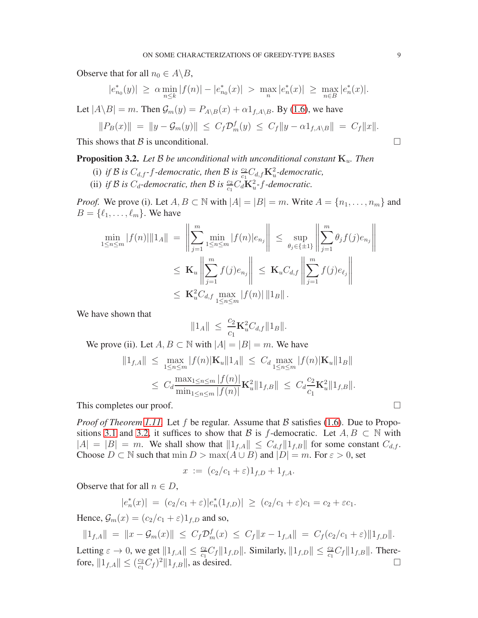Observe that for all  $n_0 \in A \backslash B$ ,

$$
|e^*_{n_0}(y)| \geq \alpha \min_{n \leq k} |f(n)| - |e^*_{n_0}(x)| > \max_n |e^*_n(x)| \geq \max_{n \in B} |e^*_n(x)|.
$$

Let  $|A \backslash B| = m$ . Then  $\mathcal{G}_m(y) = P_{A \backslash B}(x) + \alpha 1_{f, A \backslash B}$ . By [\(1.6\)](#page-3-0), we have

$$
||P_B(x)|| = ||y - \mathcal{G}_m(y)|| \le C_f \mathcal{D}_m^f(y) \le C_f ||y - \alpha \mathbf{1}_{f, A \setminus B}|| = C_f ||x||.
$$

This shows that B is unconditional.

<span id="page-8-0"></span>**Proposition 3.2.** Let  $\beta$  be unconditional with unconditional constant  $K_u$ . Then

- (i) *if* B is  $C_{d,f}$ -*f*-democratic, then B is  $\frac{c_2}{c_1}C_{d,f}K_u^2$ -democratic,
- (ii) *if* B is  $C_d$ -democratic, then B is  $\frac{c_2}{c_1} C_d \mathbf{K}_u^2$ -f-democratic.

*Proof.* We prove (i). Let  $A, B \subset \mathbb{N}$  with  $|A| = |B| = m$ . Write  $A = \{n_1, \ldots, n_m\}$  and  $B = \{\ell_1, \ldots, \ell_m\}$ . We have

$$
\min_{1 \le n \le m} |f(n)| \|1_A\| = \left\| \sum_{j=1}^m \min_{1 \le n \le m} |f(n)| e_{n_j} \right\| \le \sup_{\theta_j \in \{\pm 1\}} \left\| \sum_{j=1}^m \theta_j f(j) e_{n_j} \right\| \n\le \mathbf{K}_u \left\| \sum_{j=1}^m f(j) e_{n_j} \right\| \le \mathbf{K}_u C_{d,f} \left\| \sum_{j=1}^m f(j) e_{\ell_j} \right\| \n\le \mathbf{K}_u^2 C_{d,f} \max_{1 \le n \le m} |f(n)| \|1_B\|.
$$

We have shown that

$$
||1_A|| \leq \frac{c_2}{c_1} \mathbf{K}_u^2 C_{d,f} ||1_B||.
$$

We prove (ii). Let  $A, B \subset \mathbb{N}$  with  $|A| = |B| = m$ . We have

$$
||1_{f,A}|| \leq \max_{1 \leq n \leq m} |f(n)| \mathbf{K}_u ||1_A|| \leq C_d \max_{1 \leq n \leq m} |f(n)| \mathbf{K}_u ||1_B||
$$
  

$$
\leq C_d \frac{\max_{1 \leq n \leq m} |f(n)|}{\min_{1 \leq n \leq m} |f(n)|} \mathbf{K}_u^2 ||1_{f,B}|| \leq C_d \frac{c_2}{c_1} \mathbf{K}_u^2 ||1_{f,B}||.
$$

This completes our proof.  $\Box$ 

*Proof of Theorem [1.11.](#page-4-0)* Let f be regular. Assume that B satisfies [\(1.6\)](#page-3-0). Due to Propo-sitions [3.1](#page-7-1) and [3.2,](#page-8-0) it suffices to show that B is f-democratic. Let  $A, B \subset \mathbb{N}$  with  $|A| = |B| = m$ . We shall show that  $||1_{f,A}|| \leq C_{d,f} ||1_{f,B}||$  for some constant  $C_{d,f}$ . Choose  $D \subset \mathbb{N}$  such that  $\min D > \max(A \cup B)$  and  $|D| = m$ . For  $\varepsilon > 0$ , set

$$
x := (c_2/c_1 + \varepsilon)1_{f,D} + 1_{f,A}.
$$

Observe that for all  $n \in D$ ,

$$
|e_n^*(x)| = (c_2/c_1 + \varepsilon)|e_n^*(1_{f,D})| \ge (c_2/c_1 + \varepsilon)c_1 = c_2 + \varepsilon c_1.
$$

Hence,  $\mathcal{G}_m(x) = (c_2/c_1 + \varepsilon)1_{f,D}$  and so,

 $||1_{f,A}|| = ||x - \mathcal{G}_m(x)|| \le C_f \mathcal{D}_m^f(x) \le C_f ||x - 1_{f,A}|| = C_f (c_2/c_1 + \varepsilon) ||1_{f,D}||.$ Letting  $\varepsilon \to 0$ , we get  $||1_{f,A}|| \leq \frac{c_2}{c_1}C_f||1_{f,D}||$ . Similarly,  $||1_{f,D}|| \leq \frac{c_2}{c_1}C_f||1_{f,B}||$ . Therefore,  $||1_{f,A}|| \leq (\frac{c_2}{c_1})$  $\frac{c_2}{c_1} C_f$ <sup>2</sup> $||1_{f,B}||$ , as desired.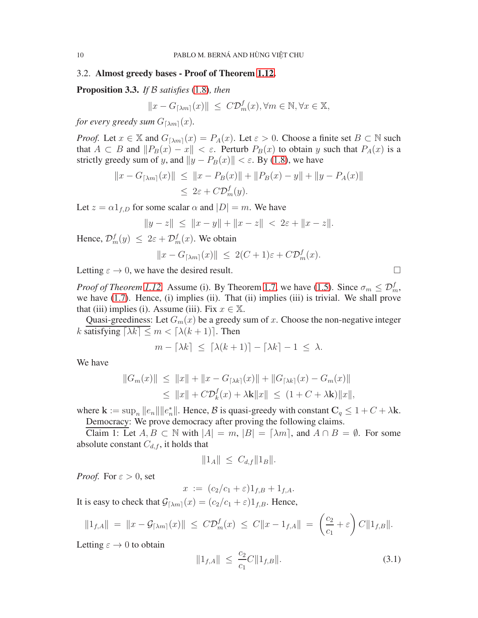### 3.2. Almost greedy bases - Proof of Theorem [1.12.](#page-4-2)

Proposition 3.3. *If* B *satisfies* [\(1.8\)](#page-4-1)*, then*

$$
||x - G_{\lceil \lambda m \rceil}(x)|| \le C \mathcal{D}_m^f(x), \forall m \in \mathbb{N}, \forall x \in \mathbb{X},
$$

*for every greedy sum*  $G_{\lceil \lambda m \rceil}(x)$ *.* 

*Proof.* Let  $x \in \mathbb{X}$  and  $G_{\lceil \lambda m \rceil}(x) = P_A(x)$ . Let  $\varepsilon > 0$ . Choose a finite set  $B \subset \mathbb{N}$  such that  $A \subset B$  and  $||P_B(x) - x|| < \varepsilon$ . Perturb  $P_B(x)$  to obtain y such that  $P_A(x)$  is a strictly greedy sum of y, and  $||y - P_B(x)|| < \varepsilon$ . By [\(1.8\)](#page-4-1), we have

$$
||x - G_{\lceil \lambda m \rceil}(x)|| \le ||x - P_B(x)|| + ||P_B(x) - y|| + ||y - P_A(x)||
$$
  

$$
\le 2\varepsilon + C\mathcal{D}_m^f(y).
$$

Let  $z = \alpha 1_{f,D}$  for some scalar  $\alpha$  and  $|D| = m$ . We have

$$
||y - z|| \le ||x - y|| + ||x - z|| < 2\varepsilon + ||x - z||.
$$

Hence,  $\mathcal{D}_m^f(y) \leq 2\varepsilon + \mathcal{D}_m^f(x)$ . We obtain

$$
||x - G_{\lceil \lambda m \rceil}(x)|| \le 2(C+1)\varepsilon + C\mathcal{D}_m^f(x).
$$

Letting  $\varepsilon \to 0$ , we have the desired result.

*Proof of Theorem [1.12.](#page-4-2)* Assume (i). By Theorem [1.7,](#page-3-3) we have [\(1.5\)](#page-3-4). Since  $\sigma_m \leq \mathcal{D}_m^f$ , we have [\(1.7\)](#page-4-3). Hence, (i) implies (ii). That (ii) implies (iii) is trivial. We shall prove that (iii) implies (i). Assume (iii). Fix  $x \in \mathbb{X}$ .

Quasi-greediness: Let  $G_m(x)$  be a greedy sum of x. Choose the non-negative integer k satisfying  $\lceil \lambda k \rceil \leq m < \lceil \lambda (k+1) \rceil$ . Then

$$
m - \lceil \lambda k \rceil \le \lceil \lambda (k+1) \rceil - \lceil \lambda k \rceil - 1 \le \lambda.
$$

We have

$$
||G_m(x)|| \le ||x|| + ||x - G_{[\lambda k]}(x)|| + ||G_{[\lambda k]}(x) - G_m(x)||
$$
  
\n
$$
\le ||x|| + C\mathcal{D}_k^f(x) + \lambda k||x|| \le (1 + C + \lambda k) ||x||,
$$

where  $\mathbf{k} := \sup_n ||e_n|| ||e_n^*||$ . Hence,  $\mathcal{B}$  is quasi-greedy with constant  $C_q \leq 1 + C + \lambda \mathbf{k}$ . Democracy: We prove democracy after proving the following claims.

Claim 1: Let  $A, B \subset \mathbb{N}$  with  $|A| = m$ ,  $|B| = \lceil \lambda m \rceil$ , and  $A \cap B = \emptyset$ . For some absolute constant  $C_{d,f}$ , it holds that

$$
||1_A|| \leq C_{d,f} ||1_B||.
$$

*Proof.* For  $\varepsilon > 0$ , set

$$
x := (c_2/c_1 + \varepsilon)1_{f,B} + 1_{f,A}.
$$

It is easy to check that  $\mathcal{G}_{[\lambda m]}(x) = (c_2/c_1 + \varepsilon)1_{f,B}$ . Hence,

$$
||1_{f,A}|| = ||x - \mathcal{G}_{\lceil \lambda m \rceil}(x)|| \le C \mathcal{D}_m^f(x) \le C ||x - 1_{f,A}|| = \left(\frac{c_2}{c_1} + \varepsilon\right) C ||1_{f,B}||.
$$

Letting  $\varepsilon \to 0$  to obtain

<span id="page-9-0"></span>
$$
||1_{f,A}|| \le \frac{c_2}{c_1} C ||1_{f,B}||. \tag{3.1}
$$

$$
\Box
$$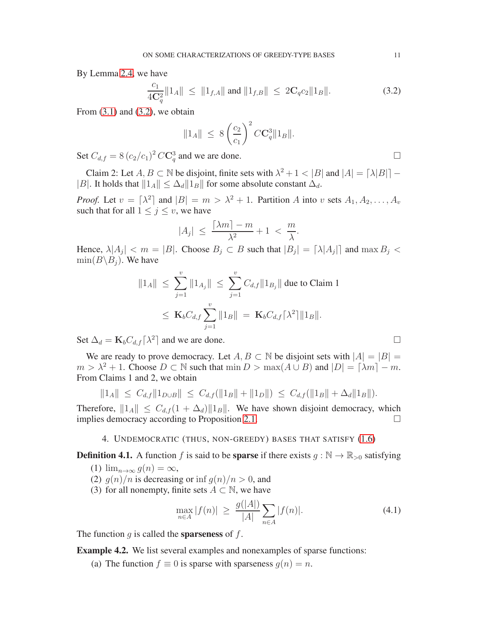By Lemma [2.4,](#page-7-2) we have

<span id="page-10-1"></span>
$$
\frac{c_1}{4\mathbf{C}_q^2} ||1_A|| \le ||1_{f,A}|| \text{ and } ||1_{f,B}|| \le 2\mathbf{C}_q c_2 ||1_B||. \tag{3.2}
$$

From  $(3.1)$  and  $(3.2)$ , we obtain

$$
||1_A|| \leq 8 \left(\frac{c_2}{c_1}\right)^2 C \mathbf{C}_q^3 ||1_B||.
$$

Set  $C_{d,f} = 8 (c_2/c_1)^2 C \mathbb{C}_q^3$  and we are done.

Claim 2: Let  $A, B \subset \mathbb{N}$  be disjoint, finite sets with  $\lambda^2 + 1 < |B|$  and  $|A| = \lceil \lambda |B| \rceil -$ |B|. It holds that  $||1_A|| \leq \Delta_d ||1_B||$  for some absolute constant  $\Delta_d$ .

*Proof.* Let  $v = \lfloor \lambda^2 \rfloor$  and  $|B| = m > \lambda^2 + 1$ . Partition A into v sets  $A_1, A_2, \ldots, A_v$ such that for all  $1 \leq j \leq v$ , we have

$$
|A_j| \le \frac{\lceil \lambda m \rceil - m}{\lambda^2} + 1 < \frac{m}{\lambda}.
$$

Hence,  $\lambda |A_j| < m = |B|$ . Choose  $B_j \subset B$  such that  $|B_j| = |\lambda |A_j|$  and  $\max B_j <$  $\min(B\backslash B_i)$ . We have

$$
\|1_A\| \leq \sum_{j=1}^v \|1_{A_j}\| \leq \sum_{j=1}^v C_{d,f} \|1_{B_j}\| \text{ due to Claim 1}
$$
  

$$
\leq \mathbf{K}_b C_{d,f} \sum_{j=1}^v \|1_B\| = \mathbf{K}_b C_{d,f} \lceil \lambda^2 \rceil \|1_B\|.
$$

Set  $\Delta_d = \mathbf{K}_b C_{d,f} [\lambda^2]$  and we are done.

We are ready to prove democracy. Let  $A, B \subset \mathbb{N}$  be disjoint sets with  $|A| = |B|$  $m > \lambda^2 + 1$ . Choose  $D \subset \mathbb{N}$  such that  $\min D > \max(A \cup B)$  and  $|D| = \lceil \lambda m \rceil - m$ . From Claims 1 and 2, we obtain

$$
||1_A|| \leq C_{d,f}||1_{D\cup B}|| \leq C_{d,f}(||1_B|| + ||1_D||) \leq C_{d,f}(||1_B|| + \Delta_d ||1_B||).
$$

<span id="page-10-0"></span>Therefore,  $||1_A|| \leq C_{d,f} (1 + \Delta_d) ||1_B||$ . We have shown disjoint democracy, which implies democracy according to Proposition 2.1. implies democracy according to Proposition [2.1.](#page-6-2)

#### 4. UNDEMOCRATIC (THUS, NON-GREEDY) BASES THAT SATISFY [\(1.6\)](#page-3-0)

**Definition 4.1.** A function f is said to be **sparse** if there exists  $g : \mathbb{N} \to \mathbb{R}_{>0}$  satisfying

- (1)  $\lim_{n\to\infty} g(n) = \infty$ ,
- (2)  $g(n)/n$  is decreasing or inf  $g(n)/n > 0$ , and
- (3) for all nonempty, finite sets  $A \subset \mathbb{N}$ , we have

<span id="page-10-2"></span>
$$
\max_{n \in A} |f(n)| \ge \frac{g(|A|)}{|A|} \sum_{n \in A} |f(n)|. \tag{4.1}
$$

The function  $g$  is called the **sparseness** of  $f$ .

Example 4.2. We list several examples and nonexamples of sparse functions:

(a) The function  $f \equiv 0$  is sparse with sparseness  $q(n) = n$ .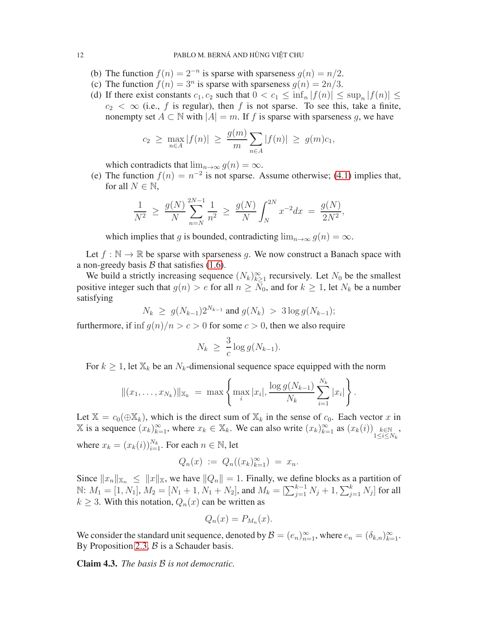- (b) The function  $f(n) = 2^{-n}$  is sparse with sparseness  $g(n) = n/2$ .
- (c) The function  $f(n) = 3^n$  is sparse with sparseness  $g(n) = 2n/3$ .
- (d) If there exist constants  $c_1, c_2$  such that  $0 < c_1 \le \inf_n |f(n)| \le \sup_n |f(n)| \le$  $c_2 < \infty$  (i.e., f is regular), then f is not sparse. To see this, take a finite, nonempty set  $A \subset \mathbb{N}$  with  $|A| = m$ . If f is sparse with sparseness g, we have

$$
c_2 \ge \max_{n \in A} |f(n)| \ge \frac{g(m)}{m} \sum_{n \in A} |f(n)| \ge g(m)c_1,
$$

which contradicts that  $\lim_{n\to\infty} g(n) = \infty$ .

(e) The function  $f(n) = n^{-2}$  is not sparse. Assume otherwise; [\(4.1\)](#page-10-2) implies that, for all  $N \in \mathbb{N}$ ,

$$
\frac{1}{N^2} \ge \frac{g(N)}{N} \sum_{n=N}^{2N-1} \frac{1}{n^2} \ge \frac{g(N)}{N} \int_N^{2N} x^{-2} dx = \frac{g(N)}{2N^2},
$$

which implies that g is bounded, contradicting  $\lim_{n\to\infty} g(n) = \infty$ .

Let  $f : \mathbb{N} \to \mathbb{R}$  be sparse with sparseness q. We now construct a Banach space with a non-greedy basis  $\beta$  that satisfies [\(1.6\)](#page-3-0).

We build a strictly increasing sequence  $(N_k)_{k\geq 1}^{\infty}$  recursively. Let  $N_0$  be the smallest positive integer such that  $g(n) > e$  for all  $n \geq N_0$ , and for  $k \geq 1$ , let  $N_k$  be a number satisfying

$$
N_k \geq g(N_{k-1})2^{N_{k-1}}
$$
 and  $g(N_k) > 3 \log g(N_{k-1});$ 

furthermore, if inf  $q(n)/n > c > 0$  for some  $c > 0$ , then we also require

$$
N_k \geq \frac{3}{c} \log g(N_{k-1}).
$$

For  $k \geq 1$ , let  $\mathbb{X}_k$  be an  $N_k$ -dimensional sequence space equipped with the norm

$$
||(x_1,\ldots,x_{N_k})||_{\mathbb{X}_k} = \max \left\{\max_i |x_i|,\frac{\log g(N_{k-1})}{N_k}\sum_{i=1}^{N_k} |x_i|\right\}.
$$

Let  $\mathbb{X} = c_0(\bigoplus \mathbb{X}_k)$ , which is the direct sum of  $\mathbb{X}_k$  in the sense of  $c_0$ . Each vector x in X is a sequence  $(x_k)_{k=1}^{\infty}$ , where  $x_k \in \mathbb{X}_k$ . We can also write  $(x_k)_{k=1}^{\infty}$  as  $(x_k(i))$ <sub>1≤i≤N<sub>k</sub></sub> , where  $x_k = (x_k(i))_{i=1}^{N_k}$ . For each  $n \in \mathbb{N}$ , let

$$
Q_n(x) := Q_n((x_k)_{k=1}^{\infty}) = x_n.
$$

Since  $||x_n||_{\mathbb{X}_n} \le ||x||_{\mathbb{X}}$ , we have  $||Q_n|| = 1$ . Finally, we define blocks as a partition of  $\mathbb{N}$ :  $M_1 = [1, N_1], M_2 = [N_1 + 1, N_1 + N_2],$  and  $M_k = [\sum_{j=1}^{k-1} N_j + 1, \sum_{j=1}^k N_j]$  for all  $k \geq 3$ . With this notation,  $Q_n(x)$  can be written as

$$
Q_n(x) = P_{M_n}(x).
$$

We consider the standard unit sequence, denoted by  $\mathcal{B} = (e_n)_{n=1}^{\infty}$ , where  $e_n = (\delta_{k,n})_{k=1}^{\infty}$ . By Proposition [2.3,](#page-6-3)  $\beta$  is a Schauder basis.

Claim 4.3. *The basis* B *is not democratic.*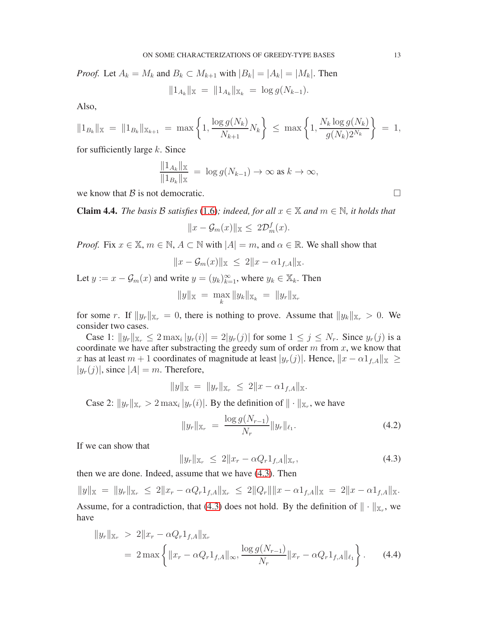*Proof.* Let  $A_k = M_k$  and  $B_k \subset M_{k+1}$  with  $|B_k| = |A_k| = |M_k|$ . Then

 $||1_{A_k}||_{\mathbb{X}} = ||1_{A_k}||_{\mathbb{X}_k} = \log g(N_{k-1}).$ 

Also,

$$
||1_{B_k}||_{\mathbb{X}} = ||1_{B_k}||_{\mathbb{X}_{k+1}} = \max \left\{ 1, \frac{\log g(N_k)}{N_{k+1}} N_k \right\} \le \max \left\{ 1, \frac{N_k \log g(N_k)}{g(N_k) 2^{N_k}} \right\} = 1,
$$

for sufficiently large  $k$ . Since

$$
\frac{\|1_{A_k}\|_{\mathbb{X}}}{\|1_{B_k}\|_{\mathbb{X}}} = \log g(N_{k-1}) \to \infty \text{ as } k \to \infty,
$$

we know that B is not democratic.

**Claim 4.4.** *The basis* B *satisfies* [\(1.6\)](#page-3-0); indeed, for all  $x \in \mathbb{X}$  and  $m \in \mathbb{N}$ , it holds that

$$
||x - \mathcal{G}_m(x)||_{\mathbb{X}} \leq 2\mathcal{D}_m^f(x).
$$

*Proof.* Fix  $x \in \mathbb{X}$ ,  $m \in \mathbb{N}$ ,  $A \subset \mathbb{N}$  with  $|A| = m$ , and  $\alpha \in \mathbb{R}$ . We shall show that

$$
||x - \mathcal{G}_m(x)||_X \leq 2||x - \alpha 1_{f,A}||_X.
$$

Let  $y := x - \mathcal{G}_m(x)$  and write  $y = (y_k)_{k=1}^{\infty}$ , where  $y_k \in \mathbb{X}_k$ . Then

$$
||y||_{\mathbb{X}} = \max_{k} ||y_k||_{\mathbb{X}_k} = ||y_r||_{\mathbb{X}_r}
$$

for some r. If  $||y_r||_{X_r} = 0$ , there is nothing to prove. Assume that  $||y_k||_{X_r} > 0$ . We consider two cases.

Case 1:  $||y_r||_{\mathbb{X}_r} \leq 2 \max_i |y_r(i)| = 2|y_r(j)|$  for some  $1 \leq j \leq N_r$ . Since  $y_r(j)$  is a coordinate we have after substracting the greedy sum of order  $m$  from  $x$ , we know that x has at least  $m + 1$  coordinates of magnitude at least  $|y_r(j)|$ . Hence,  $||x - \alpha 1_{f,A}||_{\mathbb{X}} \ge$  $|y_r(j)|$ , since  $|A| = m$ . Therefore,

$$
||y||_{\mathbb{X}} = ||y_r||_{\mathbb{X}_r} \leq 2||x - \alpha 1_{f,A}||_{\mathbb{X}}.
$$

Case 2:  $||y_r||_{\mathbb{X}_r} > 2 \max_i |y_r(i)|$ . By the definition of  $|| \cdot ||_{\mathbb{X}_r}$ , we have

<span id="page-12-1"></span>
$$
||y_r||_{\mathbb{X}_r} = \frac{\log g(N_{r-1})}{N_r} ||y_r||_{\ell_1}.
$$
\n(4.2)

If we can show that

<span id="page-12-2"></span><span id="page-12-0"></span>
$$
||y_r||_{\mathbb{X}_r} \leq 2||x_r - \alpha Q_r 1_{f,A}||_{\mathbb{X}_r}, \tag{4.3}
$$

then we are done. Indeed, assume that we have [\(4.3\)](#page-12-0). Then

 $||y||_{\mathbb{X}} = ||y_r||_{\mathbb{X}_r} \leq 2||x_r - \alpha Q_r 1_{f,A}||_{\mathbb{X}_r} \leq 2||Q_r|| ||x - \alpha 1_{f,A}||_{\mathbb{X}} = 2||x - \alpha 1_{f,A}||_{\mathbb{X}}.$ Assume, for a contradiction, that [\(4.3\)](#page-12-0) does not hold. By the definition of  $\|\cdot\|_{\mathbb{X}_r}$ , we have

$$
||y_r||_{\mathbb{X}_r} > 2||x_r - \alpha Q_r 1_{f,A}||_{\mathbb{X}_r}
$$
  
=  $2 \max \left\{ ||x_r - \alpha Q_r 1_{f,A}||_{\infty}, \frac{\log g(N_{r-1})}{N_r} ||x_r - \alpha Q_r 1_{f,A}||_{\ell_1} \right\}.$  (4.4)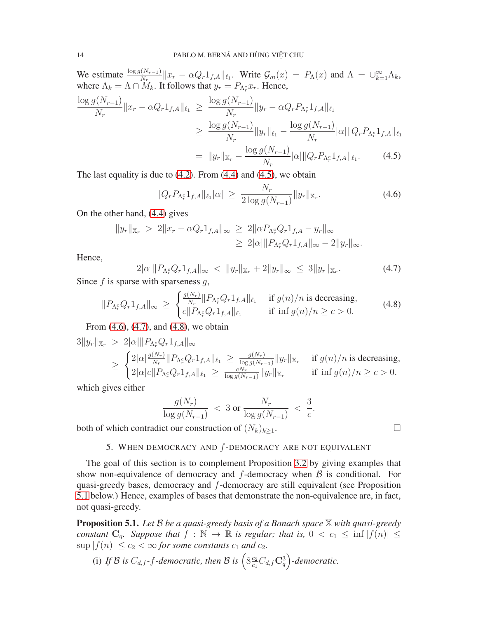We estimate  $\frac{\log g(N_{r-1})}{N_r} ||x_r - \alpha Q_r 1_{f,A}||_{\ell_1}$ . Write  $\mathcal{G}_m(x) = P_\Lambda(x)$  and  $\Lambda = \bigcup_{k=1}^{\infty} \Lambda_k$ , where  $\Lambda_k = \Lambda \cap \dot{M}_k$ . It follows that  $y_r = P_{\Lambda_r^c} x_r$ . Hence,

$$
\frac{\log g(N_{r-1})}{N_r} \|x_r - \alpha Q_r 1_{f,A}\|_{\ell_1} \ge \frac{\log g(N_{r-1})}{N_r} \|y_r - \alpha Q_r P_{\Lambda_r^c} 1_{f,A}\|_{\ell_1}
$$

$$
\ge \frac{\log g(N_{r-1})}{N_r} \|y_r\|_{\ell_1} - \frac{\log g(N_{r-1})}{N_r} |\alpha| \|Q_r P_{\Lambda_r^c} 1_{f,A}\|_{\ell_1}
$$

$$
= \|y_r\|_{\mathbb{X}_r} - \frac{\log g(N_{r-1})}{N_r} |\alpha| \|Q_r P_{\Lambda_r^c} 1_{f,A}\|_{\ell_1}.
$$
(4.5)

The last equality is due to  $(4.2)$ . From  $(4.4)$  and  $(4.5)$ , we obtain

<span id="page-13-2"></span><span id="page-13-1"></span>
$$
||Q_r P_{\Lambda_r^c} 1_{f,A}||_{\ell_1} |\alpha| \ge \frac{N_r}{2 \log g(N_{r-1})} ||y_r||_{\mathbb{X}_r}.
$$
\n(4.6)

On the other hand, [\(4.4\)](#page-12-2) gives

<span id="page-13-3"></span>
$$
||y_r||_{\mathbb{X}_r} > 2||x_r - \alpha Q_r 1_{f,A}||_{\infty} \ge 2||\alpha P_{\Lambda_r^c} Q_r 1_{f,A} - y_r||_{\infty}
$$
  
\n
$$
\ge 2|\alpha| ||P_{\Lambda_r^c} Q_r 1_{f,A}||_{\infty} - 2||y_r||_{\infty}.
$$

Hence,

 $2|\alpha| \|P_{\Lambda_r^c} Q_r 1_{f,A}\|_\infty \ < \ \|y_r\|_{\mathbb{X}_r} + 2\|y_r\|_\infty \ \leq \ 3\|y_r\|_{\mathbb{X}_r}$  $(4.7)$ Since  $f$  is sparse with sparseness  $g$ ,

<span id="page-13-4"></span>
$$
||P_{\Lambda_r^c} Q_r 1_{f,A}||_{\infty} \ge \begin{cases} \frac{g(N_r)}{N_r} ||P_{\Lambda_r^c} Q_r 1_{f,A}||_{\ell_1} & \text{if } g(n)/n \text{ is decreasing,} \\ c||P_{\Lambda_r^c} Q_r 1_{f,A}||_{\ell_1} & \text{if } \inf g(n)/n \ge c > 0. \end{cases}
$$
(4.8)

From [\(4.6\)](#page-13-2), [\(4.7\)](#page-13-3), and [\(4.8\)](#page-13-4), we obtain

$$
3||y_r||_{\mathbb{X}_r} > 2|\alpha|||P_{\Lambda_r^c} Q_r 1_{f,A}||_{\infty}
$$
  
\n
$$
\geq \begin{cases} 2|\alpha| \frac{g(N_r)}{N_r} || P_{\Lambda_r^c} Q_r 1_{f,A} ||_{\ell_1} \geq \frac{g(N_r)}{\log g(N_{r-1})} ||y_r||_{\mathbb{X}_r} & \text{if } g(n)/n \text{ is decreasing,} \\ 2|\alpha|c||P_{\Lambda_r^c} Q_r 1_{f,A} ||_{\ell_1} \geq \frac{cN_r}{\log g(N_{r-1})} ||y_r||_{\mathbb{X}_r} & \text{if } \inf g(n)/n \geq c > 0. \end{cases}
$$

which gives either

$$
\frac{g(N_r)}{\log g(N_{r-1})} < 3 \text{ or } \frac{N_r}{\log g(N_{r-1})} < \frac{3}{c}.
$$

<span id="page-13-0"></span>both of which contradict our construction of  $(N_k)_{k\geq 1}$ .

5. WHEN DEMOCRACY AND  $f$ -DEMOCRACY ARE NOT EQUIVALENT

The goal of this section is to complement Proposition [3.2](#page-8-0) by giving examples that show non-equivalence of democracy and  $f$ -democracy when  $\beta$  is conditional. For quasi-greedy bases, democracy and f-democracy are still equivalent (see Proposition [5.1](#page-13-5) below.) Hence, examples of bases that demonstrate the non-equivalence are, in fact, not quasi-greedy.

<span id="page-13-5"></span>Proposition 5.1. *Let* <sup>B</sup> *be a quasi-greedy basis of a Banach space* <sup>X</sup> *with quasi-greedy constant*  $C_q$ *. Suppose that*  $f : \mathbb{N} \to \mathbb{R}$  *is regular; that is,*  $0 < c_1 \le \inf |f(n)| \le$  $\sup |f(n)| \leq c_2 < \infty$  *for some constants*  $c_1$  *and*  $c_2$ *.* 

(i) If B is  $C_{d,f}$ -f-democratic, then B is  $\left(8\frac{c_2}{c_1}\right)$  $\frac{c_2}{c_1} C_{d,f} \mathbf{C}^3_q$  -democratic.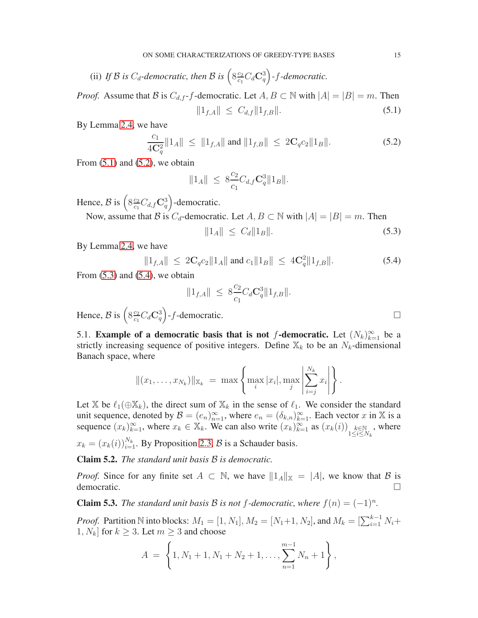(ii) If 
$$
\mathcal B
$$
 is  $C_d$ -democratic, then  $\mathcal B$  is  $\left(8\frac{c_2}{c_1}C_d\mathbf{C}_q^3\right)$ - $f$ -democratic.

*Proof.* Assume that B is  $C_{d,f}$ -f-democratic. Let  $A, B \subset \mathbb{N}$  with  $|A| = |B| = m$ . Then

<span id="page-14-0"></span>
$$
||1_{f,A}|| \leq C_{d,f}||1_{f,B}||. \tag{5.1}
$$

By Lemma [2.4,](#page-7-2) we have

<span id="page-14-1"></span>
$$
\frac{c_1}{4\mathbf{C}_q^2} \|1_A\| \le \|1_{f,A}\| \text{ and } \|1_{f,B}\| \le 2\mathbf{C}_q c_2 \|1_B\|.
$$
 (5.2)

From  $(5.1)$  and  $(5.2)$ , we obtain

$$
||1_A|| \leq 8\frac{c_2}{c_1}C_{d,f} \mathbf{C}_q^3 ||1_B||.
$$

Hence,  $B$  is  $\left(8 \frac{c_2}{c_1}\right)$  $\frac{c_2}{c_1} C_{d,f} \mathbf{C}_q^3$  -democratic.

Now, assume that B is  $C_d$ -democratic. Let  $A, B \subset \mathbb{N}$  with  $|A| = |B| = m$ . Then

<span id="page-14-2"></span>
$$
||1_A|| \le C_d ||1_B||. \tag{5.3}
$$

By Lemma [2.4,](#page-7-2) we have

<span id="page-14-3"></span>
$$
||1_{f,A}|| \le 2C_q c_2 ||1_A|| \text{ and } c_1 ||1_B|| \le 4C_q^2 ||1_{f,B}||. \tag{5.4}
$$

From  $(5.3)$  and  $(5.4)$ , we obtain

$$
||1_{f,A}|| \leq 8\frac{c_2}{c_1}C_d\mathbf{C}_q^3||1_{f,B}||.
$$

Hence,  $B$  is  $\left(8\frac{c_2}{c_1}\right)$  $\frac{c_2}{c_1}C_d\mathbf{C}_q^3$  - f-democratic.

5.1. Example of a democratic basis that is not f-democratic. Let  $(N_k)_{k=1}^{\infty}$  be a strictly increasing sequence of positive integers. Define  $\mathbb{X}_k$  to be an  $N_k$ -dimensional Banach space, where

$$
||(x_1,...,x_{N_k})||_{\mathbb{X}_k} = \max \left\{ \max_i |x_i|, \max_j \left| \sum_{i=j}^{N_k} x_i \right| \right\}.
$$

Let X be  $\ell_1(\oplus X_k)$ , the direct sum of  $X_k$  in the sense of  $\ell_1$ . We consider the standard unit sequence, denoted by  $\mathcal{B} = (e_n)_{n=1}^{\infty}$ , where  $e_n = (\delta_{k,n})_{k=1}^{\infty}$ . Each vector x in X is a sequence  $(x_k)_{k=1}^{\infty}$ , where  $x_k \in \mathbb{X}_k$ . We can also write  $(x_k)_{k=1}^{\infty}$  as  $(x_k(i))_{\substack{k \in \mathbb{N} \\ 1 \le i \le N_k}}$ , where  $x_k = (x_k(i))_{i=1}^{N_k}$ . By Proposition [2.3,](#page-6-3)  $\mathcal{B}$  is a Schauder basis.

Claim 5.2. *The standard unit basis* B *is democratic.*

*Proof.* Since for any finite set  $A \subset \mathbb{N}$ , we have  $||1_A||_{\mathbb{X}} = |A|$ , we know that  $\beta$  is democratic.

**Claim 5.3.** *The standard unit basis*  $\mathcal{B}$  *is not f-democratic, where*  $f(n) = (-1)^n$ *.* 

*Proof.* Partition N into blocks:  $M_1 = [1, N_1], M_2 = [N_1 + 1, N_2]$ , and  $M_k = [\sum_{i=1}^{k-1} N_i +$ 1,  $N_k$  for  $k \geq 3$ . Let  $m \geq 3$  and choose

$$
A = \left\{1, N_1 + 1, N_1 + N_2 + 1, \ldots, \sum_{n=1}^{m-1} N_n + 1\right\},\,
$$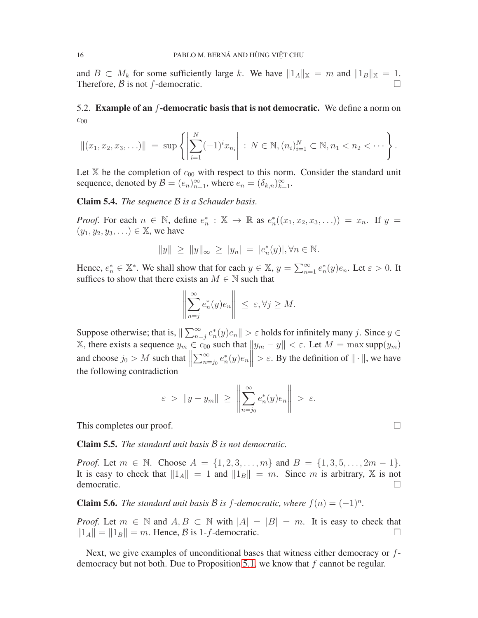and  $B \subset M_k$  for some sufficiently large k. We have  $||1_A||_{\mathbb{X}} = m$  and  $||1_B||_{\mathbb{X}} = 1$ .<br>Therefore, B is not f-democratic. Therefore,  $\beta$  is not f-democratic.

# 5.2. Example of an f-democratic basis that is not democratic. We define a norm on  $c_{00}$

$$
||(x_1, x_2, x_3,...)|| = \sup \left\{ \left| \sum_{i=1}^N (-1)^i x_{n_i} \right| : N \in \mathbb{N}, (n_i)_{i=1}^N \subset \mathbb{N}, n_1 < n_2 < \cdots \right\}.
$$

Let  $X$  be the completion of  $c_{00}$  with respect to this norm. Consider the standard unit sequence, denoted by  $\mathcal{B} = (e_n)_{n=1}^{\infty}$ , where  $e_n = (\delta_{k,n})_{k=1}^{\infty}$ .

<span id="page-15-0"></span>Claim 5.4. *The sequence* B *is a Schauder basis.*

*Proof.* For each  $n \in \mathbb{N}$ , define  $e_n^* : \mathbb{X} \to \mathbb{R}$  as  $e_n^*((x_1, x_2, x_3, \ldots)) = x_n$ . If  $y =$  $(y_1, y_2, y_3, ...) \in \mathbb{X}$ , we have

$$
||y|| \ge ||y||_{\infty} \ge |y_n| = |e_n^*(y)|, \forall n \in \mathbb{N}.
$$

Hence,  $e_n^* \in \mathbb{X}^*$ . We shall show that for each  $y \in \mathbb{X}$ ,  $y = \sum_{n=1}^{\infty} e_n^*(y)e_n$ . Let  $\varepsilon > 0$ . It suffices to show that there exists an  $M \in \mathbb{N}$  such that

$$
\left\| \sum_{n=j}^{\infty} e_n^*(y) e_n \right\| \le \varepsilon, \forall j \ge M.
$$

Suppose otherwise; that is,  $\|\sum_{n=j}^{\infty} e_n^*(y)e_n\| > \varepsilon$  holds for infinitely many j. Since  $y \in$ X, there exists a sequence  $y_m \in c_{00}$  such that  $||y_m - y|| < \varepsilon$ . Let  $M = \max \text{supp}(y_m)$ and choose  $j_0 > M$  such that  $\parallel$  $\sum_{n=j_0}^{\infty} e_n^*(y)e_n\| > \varepsilon$ . By the definition of  $\|\cdot\|$ , we have the following contradiction

$$
\varepsilon > \|y - y_m\| \ge \left\|\sum_{n=j_0}^{\infty} e_n^*(y)e_n\right\| > \varepsilon.
$$

This completes our proof.  $\Box$ 

Claim 5.5. *The standard unit basis* B *is not democratic.*

*Proof.* Let  $m \in \mathbb{N}$ . Choose  $A = \{1, 2, 3, ..., m\}$  and  $B = \{1, 3, 5, ..., 2m - 1\}$ . It is easy to check that  $||1_A|| = 1$  and  $||1_B|| = m$ . Since m is arbitrary, X is not democratic. democratic.

**Claim 5.6.** *The standard unit basis*  $\mathcal{B}$  *is f-democratic, where*  $f(n) = (-1)^n$ .

*Proof.* Let  $m \in \mathbb{N}$  and  $A, B \subset \mathbb{N}$  with  $|A| = |B| = m$ . It is easy to check that  $||1_A|| = ||1_B|| = m$ . Hence,  $B$  is 1-f-democratic.  $||1_A|| = ||1_B|| = m$ . Hence,  $\beta$  is 1-f-democratic.

Next, we give examples of unconditional bases that witness either democracy or f-democracy but not both. Due to Proposition [5.1,](#page-13-5) we know that  $f$  cannot be regular.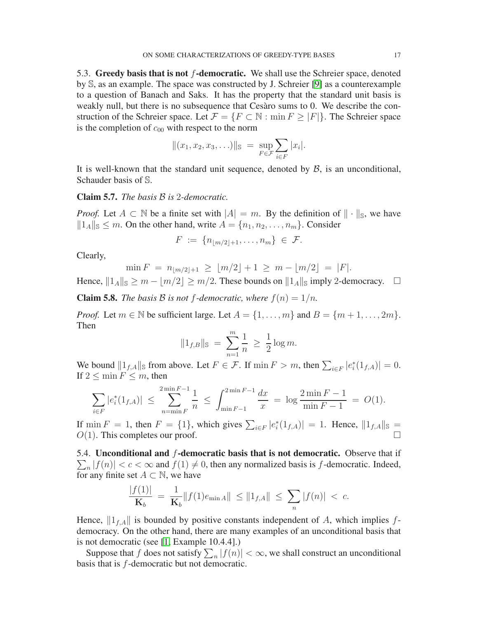5.3. Greedy basis that is not  $f$ -democratic. We shall use the Schreier space, denoted by S, as an example. The space was constructed by J. Schreier [\[9\]](#page-21-9) as a counterexample to a question of Banach and Saks. It has the property that the standard unit basis is weakly null, but there is no subsequence that Cesàro sums to 0. We describe the construction of the Schreier space. Let  $\mathcal{F} = \{F \subset \mathbb{N} : \min F \geq |F|\}.$  The Schreier space is the completion of  $c_{00}$  with respect to the norm

$$
||(x_1, x_2, x_3, \ldots)||_{\mathbb{S}} = \sup_{F \in \mathcal{F}} \sum_{i \in F} |x_i|.
$$

It is well-known that the standard unit sequence, denoted by  $\beta$ , is an unconditional, Schauder basis of S.

Claim 5.7. *The basis* B *is* 2*-democratic.*

*Proof.* Let  $A \subset \mathbb{N}$  be a finite set with  $|A| = m$ . By the definition of  $\|\cdot\|_{\mathbb{S}}$ , we have  $||1_A||_{\mathcal{S}} \leq m$ . On the other hand, write  $A = \{n_1, n_2, \ldots, n_m\}$ . Consider

$$
F := \{ n_{\lfloor m/2 \rfloor + 1}, \ldots, n_m \} \in \mathcal{F}.
$$

Clearly,

$$
\min F = n_{\lfloor m/2 \rfloor + 1} \geq \lfloor m/2 \rfloor + 1 \geq m - \lfloor m/2 \rfloor = |F|.
$$

Hence,  $||1_A||_{\mathbb{S}} \ge m - |m/2| \ge m/2$ . These bounds on  $||1_A||_{\mathbb{S}}$  imply 2-democracy.  $\square$ 

**Claim 5.8.** *The basis* B *is not* f-democratic, where  $f(n) = 1/n$ .

*Proof.* Let  $m \in \mathbb{N}$  be sufficient large. Let  $A = \{1, \ldots, m\}$  and  $B = \{m+1, \ldots, 2m\}$ . Then

$$
||1_{f,B}||_{\mathbb{S}} = \sum_{n=1}^{m} \frac{1}{n} \ge \frac{1}{2} \log m.
$$

We bound  $||1_{f,A}||$  from above. Let  $F \in \mathcal{F}$ . If  $\min F > m$ , then  $\sum_{i \in F} |e_i^*(1_{f,A})| = 0$ . If  $2 \leq \min F \leq m$ , then

$$
\sum_{i \in F} |e_i^*(1_{f,A})| \le \sum_{n=\min F}^{2 \min F - 1} \frac{1}{n} \le \int_{\min F - 1}^{2 \min F - 1} \frac{dx}{x} = \log \frac{2 \min F - 1}{\min F - 1} = O(1).
$$

If  $\min F = 1$ , then  $F = \{1\}$ , which gives  $\sum_{i \in F} |e_i^*(1_{f,A})| = 1$ . Hence,  $||1_{f,A}||_{\mathcal{S}} =$  $O(1)$ . This completes our proof.

5.4. Unconditional and  $f$ -democratic basis that is not democratic. Observe that if  $\sum_{n} |f(n)| < c < \infty$  and  $f(1) \neq 0$ , then any normalized basis is f-democratic. Indeed, for any finite set  $A \subset \mathbb{N}$ , we have

$$
\frac{|f(1)|}{\mathbf{K}_b} = \frac{1}{\mathbf{K}_b} ||f(1)e_{\min A}|| \le ||1_{f,A}|| \le \sum_n |f(n)| < c.
$$

Hence,  $\|1_{f,A}\|$  is bounded by positive constants independent of A, which implies fdemocracy. On the other hand, there are many examples of an unconditional basis that is not democratic (see [\[1,](#page-21-4) Example 10.4.4].)

Suppose that f does not satisfy  $\sum_{n}|f(n)| < \infty$ , we shall construct an unconditional basis that is f-democratic but not democratic.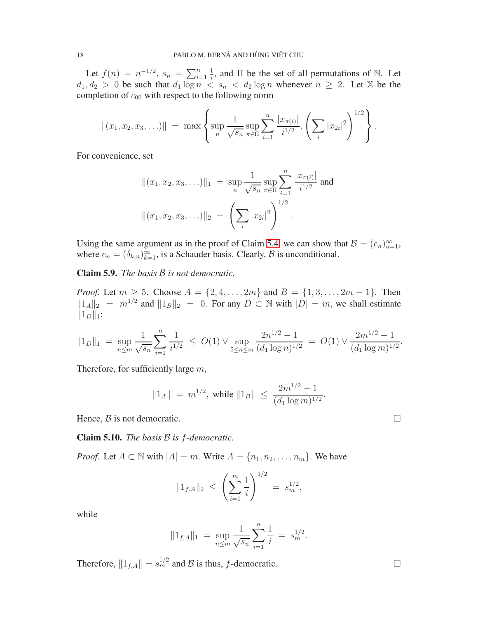Let  $f(n) = n^{-1/2}, s_n = \sum_{i=1}^n$ 1  $\frac{1}{i}$ , and  $\Pi$  be the set of all permutations of N. Let  $d_1, d_2 > 0$  be such that  $d_1 \log n < s_n < d_2 \log n$  whenever  $n \geq 2$ . Let X be the completion of  $c_{00}$  with respect to the following norm

$$
||(x_1, x_2, x_3, \ldots)|| = \max \left\{ \sup_n \frac{1}{\sqrt{s_n}} \sup_{\pi \in \Pi} \sum_{i=1}^n \frac{|x_{\pi(i)}|}{i^{1/2}}, \left(\sum_i |x_{2i}|^2\right)^{1/2}\right\}.
$$

For convenience, set

$$
||(x_1, x_2, x_3, \ldots)||_1 = \sup_n \frac{1}{\sqrt{s_n}} \sup_{\pi \in \Pi} \sum_{i=1}^n \frac{|x_{\pi(i)}|}{i^{1/2}} \text{ and }
$$

$$
||(x_1, x_2, x_3, \ldots)||_2 = \left(\sum_i |x_{2i}|^2\right)^{1/2}.
$$

Using the same argument as in the proof of Claim [5.4,](#page-15-0) we can show that  $\mathcal{B} = (e_n)_{n=1}^{\infty}$ , where  $e_n = (\delta_{k,n})_{k=1}^{\infty}$ , is a Schauder basis. Clearly,  $\beta$  is unconditional.

Claim 5.9. *The basis* B *is not democratic.*

*Proof.* Let  $m \ge 5$ . Choose  $A = \{2, 4, ..., 2m\}$  and  $B = \{1, 3, ..., 2m - 1\}$ . Then  $||1_A||_2 = m^{1/2}$  and  $||1_B||_2 = 0$ . For any  $D \subset \mathbb{N}$  with  $|D| = m$ , we shall estimate  $||1_D||_1$ :

$$
||1_D||_1 = \sup_{n \le m} \frac{1}{\sqrt{s_n}} \sum_{i=1}^n \frac{1}{i^{1/2}} \le O(1) \vee \sup_{5 \le n \le m} \frac{2n^{1/2} - 1}{(d_1 \log n)^{1/2}} = O(1) \vee \frac{2m^{1/2} - 1}{(d_1 \log m)^{1/2}}.
$$

Therefore, for sufficiently large  $m$ ,

$$
||1_A|| = m^{1/2}
$$
, while  $||1_B|| \le \frac{2m^{1/2} - 1}{(d_1 \log m)^{1/2}}$ .

Hence,  $\beta$  is not democratic.

Claim 5.10. *The basis* B *is* f*-democratic.*

*Proof.* Let  $A \subset \mathbb{N}$  with  $|A| = m$ . Write  $A = \{n_1, n_2, \dots, n_m\}$ . We have

$$
||1_{f,A}||_2 \leq \left(\sum_{i=1}^m \frac{1}{i}\right)^{1/2} = s_m^{1/2},
$$

while

$$
||1_{f,A}||_1 = \sup_{n \le m} \frac{1}{\sqrt{s_n}} \sum_{i=1}^n \frac{1}{i} = s_m^{1/2}.
$$

Therefore,  $||1_{f,A}|| = s_m^{1/2}$  and  $\beta$  is thus, f-democratic.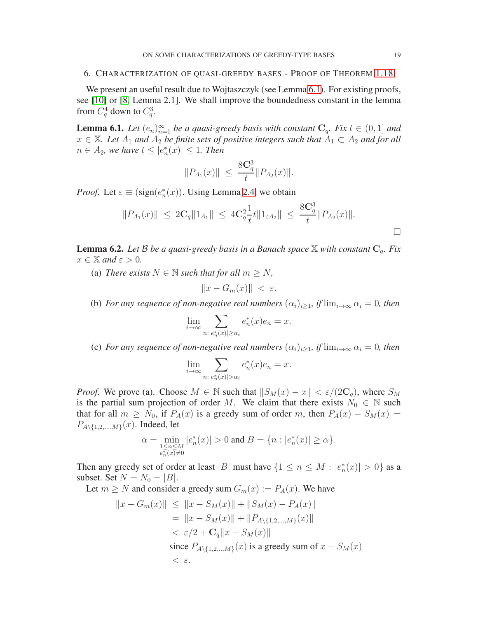### <span id="page-18-0"></span>6. CHARACTERIZATION OF QUASI-GREEDY BASES - PROOF OF THEOREM [1.18](#page-5-0)

We present an useful result due to Wojtaszczyk (see Lemma [6.1\)](#page-18-1). For existing proofs, see [\[10\]](#page-21-3) or [\[8,](#page-21-7) Lemma 2.1]. We shall improve the boundedness constant in the lemma from  $C_q^4$  down to  $C_q^3$ .

<span id="page-18-1"></span>**Lemma 6.1.** Let  $(e_n)_{n=1}^{\infty}$  be a quasi-greedy basis with constant  $C_q$ . Fix  $t \in (0,1]$  and  $x \in \mathbb{X}$ *. Let*  $A_1$  *and*  $A_2$  *be finite sets of positive integers such that*  $A_1 \subset A_2$  *and for all*  $n \in A_2$ , we have  $t \leq |e_n^*(x)| \leq 1$ . Then

$$
||P_{A_1}(x)|| \leq \frac{8\mathbf{C}_q^3}{t} ||P_{A_2}(x)||.
$$

*Proof.* Let  $\varepsilon \equiv (\text{sign}(e_n^*(x))$ . Using Lemma [2.4,](#page-7-2) we obtain

$$
||P_{A_1}(x)|| \leq 2C_q ||1_{A_1}|| \leq 4C_q^2 \frac{1}{t} t ||1_{\varepsilon A_2}|| \leq \frac{8C_q^3}{t} ||P_{A_2}(x)||.
$$

<span id="page-18-2"></span>**Lemma 6.2.** Let B be a quasi-greedy basis in a Banach space  $\mathbb{X}$  with constant  $C_q$ . Fix  $x \in \mathbb{X}$  and  $\varepsilon > 0$ .

(a) *There exists*  $N \in \mathbb{N}$  *such that for all*  $m \geq N$ *,* 

$$
||x - G_m(x)|| < \varepsilon.
$$

(b) *For any sequence of non-negative real numbers*  $(\alpha_i)_{i\geq 1}$ *, if*  $\lim_{i\to\infty} \alpha_i = 0$ *, then* 

$$
\lim_{i \to \infty} \sum_{n:|e_n^*(x)| \ge \alpha_i} e_n^*(x) e_n = x.
$$

(c) *For any sequence of non-negative real numbers*  $(\alpha_i)_{i>1}$ *, if*  $\lim_{i\to\infty} \alpha_i = 0$ *, then* 

$$
\lim_{i \to \infty} \sum_{n:|e_n^*(x)| > \alpha_i} e_n^*(x)e_n = x.
$$

*Proof.* We prove (a). Choose  $M \in \mathbb{N}$  such that  $||S_M(x) - x|| < \varepsilon/(2\mathbb{C}_q)$ , where  $S_M$ is the partial sum projection of order M. We claim that there exists  $N_0 \in \mathbb{N}$  such that for all  $m \ge N_0$ , if  $P_A(x)$  is a greedy sum of order m, then  $P_A(x) - S_M(x) =$  $P_{A\setminus\{1,2,\ldots,M\}}(x)$ . Indeed, let

$$
\alpha=\min_{\substack{1\leq n\leq M\\ e_n^*(x)\neq 0}}\vert e_n^*(x)\vert>0\text{ and }B=\{n:\vert e_n^*(x)\vert\geq \alpha\}.
$$

Then any greedy set of order at least |B| must have  $\{1 \le n \le M : |e_n^*(x)| > 0\}$  as a subset. Set  $N = N_0 = |B|$ .

Let  $m \geq N$  and consider a greedy sum  $G_m(x) := P_A(x)$ . We have

$$
||x - G_m(x)|| \le ||x - S_M(x)|| + ||S_M(x) - P_A(x)||
$$
  
=  $||x - S_M(x)|| + ||P_{A \setminus \{1, 2, ..., M\}}(x)||$   
<  $\varepsilon/2 + \mathbf{C}_q ||x - S_M(x)||$   
since  $P_{A \setminus \{1, 2, ..., M\}}(x)$  is a greedy sum of  $x - S_M(x)$   
<  $\varepsilon$ .

 $\Box$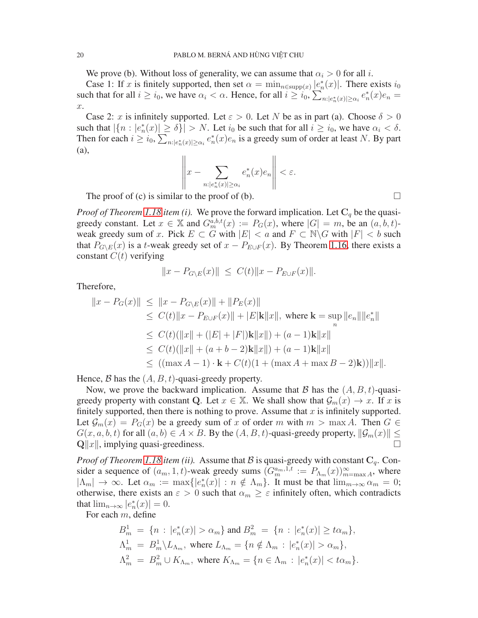We prove (b). Without loss of generality, we can assume that  $\alpha_i > 0$  for all i.

Case 1: If x is finitely supported, then set  $\alpha = \min_{n \in \text{supp}(x)} |e_n^*(x)|$ . There exists  $i_0$ such that for all  $i \ge i_0$ , we have  $\alpha_i < \alpha$ . Hence, for all  $i \ge i_0$ ,  $\sum_{n : |e_n^*(x)| \ge \alpha_i} e_n^*(x) e_n =$ x.

Case 2: x is infinitely supported. Let  $\varepsilon > 0$ . Let N be as in part (a). Choose  $\delta > 0$ such that  $|\{n : |e_n^*(x)| \ge \delta\}| > N$ . Let  $i_0$  be such that for all  $i \ge i_0$ , we have  $\alpha_i < \delta$ . Then for each  $i \ge i_0$ ,  $\sum_{n:|e_n^*(x)| \ge \alpha_i} e_n^*(x)e_n$  is a greedy sum of order at least N. By part (a),

$$
\left\|x - \sum_{n:|e_n^*(x)| \ge \alpha_i} e_n^*(x)e_n\right\| < \varepsilon.
$$

The proof of (c) is similar to the proof of (b).

*Proof of Theorem [1.18](#page-5-0) item (i).* We prove the forward implication. Let  $C_q$  be the quasigreedy constant. Let  $x \in \mathbb{X}$  and  $G_m^{a,b,t}(x) := P_G(x)$ , where  $|G| = m$ , be an  $(a, b, t)$ weak greedy sum of x. Pick  $E \subset G$  with  $|E| < a$  and  $F \subset \mathbb{N} \backslash G$  with  $|F| < b$  such that  $P_{G\setminus E}(x)$  is a t-weak greedy set of  $x - P_{E\cup F}(x)$ . By Theorem [1.16,](#page-5-2) there exists a constant  $C(t)$  verifying

$$
||x - P_{G \setminus E}(x)|| \le C(t) ||x - P_{E \cup F}(x)||.
$$

Therefore,

$$
||x - P_G(x)|| \le ||x - P_{G \setminus E}(x)|| + ||P_E(x)||
$$
  
\n
$$
\le C(t)||x - P_{E \cup F}(x)|| + |E|\mathbf{k}||x||, \text{ where } \mathbf{k} = \sup_n ||e_n|| ||e_n^*||
$$
  
\n
$$
\le C(t)(||x|| + (|E| + |F|)\mathbf{k}||x||) + (a - 1)\mathbf{k}||x||
$$
  
\n
$$
\le C(t)(||x|| + (a + b - 2)\mathbf{k}||x||) + (a - 1)\mathbf{k}||x||
$$
  
\n
$$
\le ((\max A - 1) \cdot \mathbf{k} + C(t)(1 + (\max A + \max B - 2)\mathbf{k}))||x||.
$$

Hence,  $\beta$  has the  $(A, B, t)$ -quasi-greedy property.

Now, we prove the backward implication. Assume that B has the  $(A, B, t)$ -quasigreedy property with constant Q. Let  $x \in \mathbb{X}$ . We shall show that  $\mathcal{G}_m(x) \to x$ . If x is finitely supported, then there is nothing to prove. Assume that  $x$  is infinitely supported. Let  $\mathcal{G}_m(x) = P_G(x)$  be a greedy sum of x of order m with  $m > \max A$ . Then  $G \in$  $G(x, a, b, t)$  for all  $(a, b) \in A \times B$ . By the  $(A, B, t)$ -quasi-greedy property,  $\|\mathcal{G}_m(x)\| \le \Omega \|x\|$  implying quasi-greediness  $\mathbf{Q}||x||$ , implying quasi-greediness.

*Proof of Theorem [1.18](#page-5-0) item (ii).* Assume that B is quasi-greedy with constant  $C_q$ . Consider a sequence of  $(a_m, 1, t)$ -weak greedy sums  $(G_m^{a_m,1,t}) := P_{\Lambda_m}(x)_{m=\max A}^{\infty}$ , where  $|\Lambda_m| \to \infty$ . Let  $\alpha_m := \max\{|e_n^*(x)| : n \notin \Lambda_m\}$ . It must be that  $\lim_{m \to \infty} \alpha_m = 0$ ; otherwise, there exists an  $\varepsilon > 0$  such that  $\alpha_m \geq \varepsilon$  infinitely often, which contradicts that  $\lim_{n\to\infty} |e_n^*(x)| = 0.$ 

For each  $m$ , define

$$
B_m^1 = \{n : |e_n^*(x)| > \alpha_m\} \text{ and } B_m^2 = \{n : |e_n^*(x)| \ge t\alpha_m\},
$$
  
\n
$$
\Lambda_m^1 = B_m^1 \backslash L_{\Lambda_m}, \text{ where } L_{\Lambda_m} = \{n \notin \Lambda_m : |e_n^*(x)| > \alpha_m\},
$$
  
\n
$$
\Lambda_m^2 = B_m^2 \cup K_{\Lambda_m}, \text{ where } K_{\Lambda_m} = \{n \in \Lambda_m : |e_n^*(x)| < t\alpha_m\}.
$$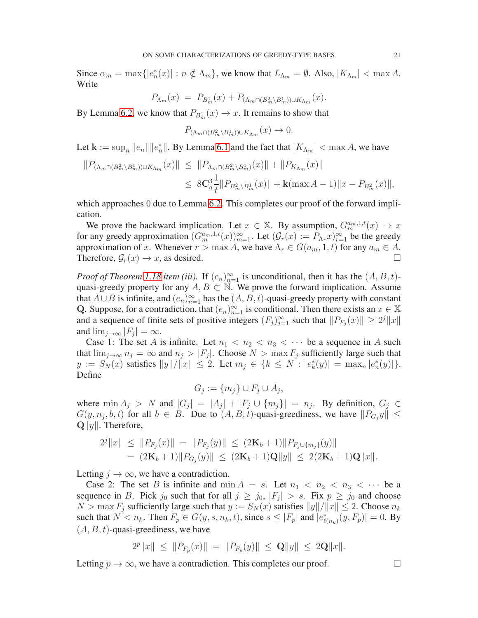Since  $\alpha_m = \max\{|e_n^*(x)| : n \notin \Lambda_m\}$ , we know that  $L_{\Lambda_m} = \emptyset$ . Also,  $|K_{\Lambda_m}| < \max A$ . Write

$$
P_{\Lambda_m}(x) = P_{B_m^1}(x) + P_{(\Lambda_m \cap (B_m^2 \setminus B_m^1)) \cup K_{\Lambda_m}}(x).
$$

By Lemma [6.2,](#page-18-2) we know that  $P_{B_m^1}(x) \to x$ . It remains to show that

$$
P_{(\Lambda_m \cap (B_m^2 \setminus B_m^1)) \cup K_{\Lambda_m}}(x) \to 0.
$$

Let  $\mathbf{k} := \sup_n ||e_n|| ||e_n^*||$ . By Lemma [6.1](#page-18-1) and the fact that  $|K_{\Lambda_m}| < \max A$ , we have

$$
||P_{(\Lambda_m \cap (B_m^2 \setminus B_m^1)) \cup K_{\Lambda_m}}(x)|| \le ||P_{\Lambda_m \cap (B_m^2 \setminus B_m^1)}(x)|| + ||P_{K_{\Lambda_m}}(x)||
$$
  

$$
\le 8\mathbf{C}_q^3 \frac{1}{t} ||P_{B_m^2 \setminus B_m^1}(x)|| + \mathbf{k}(\max A - 1) ||x - P_{B_m^2}(x)||,
$$

which approaches 0 due to Lemma [6.2.](#page-18-2) This completes our proof of the forward implication.

We prove the backward implication. Let  $x \in \mathbb{X}$ . By assumption,  $G_m^{a_m,1,t}(x) \to x$ for any greedy approximation  $(G_m^{a_m,1,t}(x))_{m=1}^{\infty}$ . Let  $(G_r(x) := P_{\Lambda_r} x)_{r=1}^{\infty}$  be the greedy approximation of x. Whenever  $r > \max A$ , we have  $\Lambda_r \in G(a_m, 1, t)$  for any  $a_m \in A$ . Therefore,  $\mathcal{G}_r(x) \to x$ , as desired.

*Proof of Theorem [1.18](#page-5-0) item (iii).* If  $(e_n)_{n=1}^{\infty}$  is unconditional, then it has the  $(A, B, t)$ quasi-greedy property for any  $A, B \subset \mathbb{N}$ . We prove the forward implication. Assume that  $A \cup B$  is infinite, and  $(e_n)_{n=1}^{\infty}$  has the  $(A, B, t)$ -quasi-greedy property with constant Q. Suppose, for a contradiction, that  $(e_n)_{n=1}^{\infty}$  is conditional. Then there exists an  $x \in \mathbb{X}$ and a sequence of finite sets of positive integers  $(F_j)_{j=1}^{\infty}$  such that  $||P_{F_j}(x)|| \ge 2^j ||x||$ and  $\lim_{j\to\infty} |F_j| = \infty$ .

Case 1: The set A is infinite. Let  $n_1 < n_2 < n_3 < \cdots$  be a sequence in A such that  $\lim_{j\to\infty} n_j = \infty$  and  $n_j > |F_j|$ . Choose  $N > \max F_j$  sufficiently large such that  $y := S_N(x)$  satisfies  $||y||/||x|| \le 2$ . Let  $m_j \in \{k \le N : |e^*_k(y)| = \max_n |e^*_n(y)|\}.$ Define

$$
G_j := \{m_j\} \cup F_j \cup A_j,
$$

where  $\min A_j > N$  and  $|G_j| = |A_j| + |F_j \cup \{m_j\}| = n_j$ . By definition,  $G_j \in \mathbb{R}$  $G(y, n_j, b, t)$  for all  $b \in B$ . Due to  $(A, B, t)$ -quasi-greediness, we have  $||P_{G_j}y|| \leq$  $\mathbf{Q}||y||$ . Therefore,

$$
2^{j}||x|| \le ||P_{F_j}(x)|| = ||P_{F_j}(y)|| \le (2\mathbf{K}_b + 1)||P_{F_j \cup \{m_j\}}(y)||
$$
  
=  $(2\mathbf{K}_b + 1)||P_{G_j}(y)|| \le (2\mathbf{K}_b + 1)\mathbf{Q}||y|| \le 2(2\mathbf{K}_b + 1)\mathbf{Q}||x||.$ 

Letting  $j \to \infty$ , we have a contradiction.

Case 2: The set B is infinite and  $\min A = s$ . Let  $n_1 < n_2 < n_3 < \cdots$  be a sequence in B. Pick  $j_0$  such that for all  $j \ge j_0$ ,  $|F_j| > s$ . Fix  $p \ge j_0$  and choose  $N > \max F_i$  sufficiently large such that  $y := S_N(x)$  satisfies  $||y||/||x|| \le 2$ . Choose  $n_k$ such that  $N < n_k$ . Then  $F_p \in G(y, s, n_k, t)$ , since  $s \leq |F_p|$  and  $|e^*_{\ell(n_k)}(y, F_p)| = 0$ . By  $(A, B, t)$ -quasi-greediness, we have

$$
2^p||x|| \le ||P_{F_p}(x)|| = ||P_{F_p}(y)|| \le ||\mathbf{Q}||y|| \le 2||x||.
$$

Letting  $p \to \infty$ , we have a contradiction. This completes our proof.